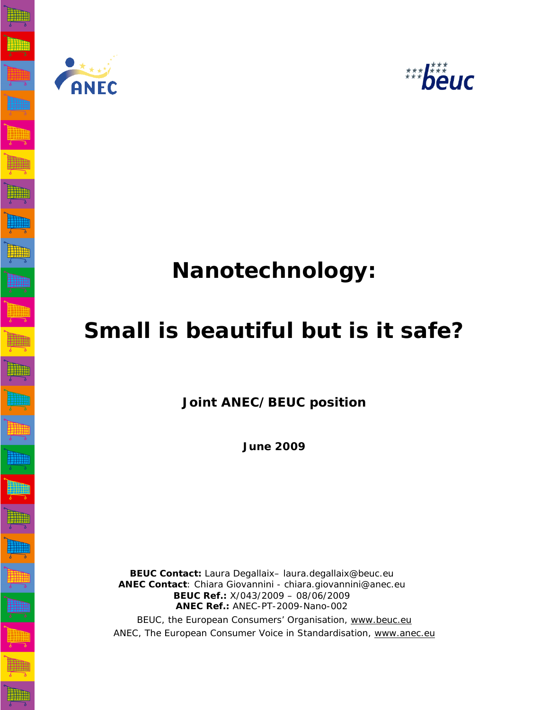



# **Nanotechnology:**

# **Small is beautiful but is it safe?**

**Joint ANEC/BEUC position**

**June 2009** 

**BEUC Contact:** Laura Degallaix– laura.degallaix[@beuc.eu](mailto:legal@beuc.eu) **ANEC Contact**: Chiara Giovannini - [chiara.giovannini@anec.eu](mailto:chiara.giovannini@anec.eu) **BEUC Ref.:** X/043/2009 – 08/06/2009 **ANEC Ref.:** ANEC-PT-2009-Nano-002

BEUC, the European Consumers' Organisation, [www.beuc.eu](http://www.beuc.eu/) ANEC, The European Consumer Voice in Standardisation, [www.anec.eu](http://www.anec.eu/)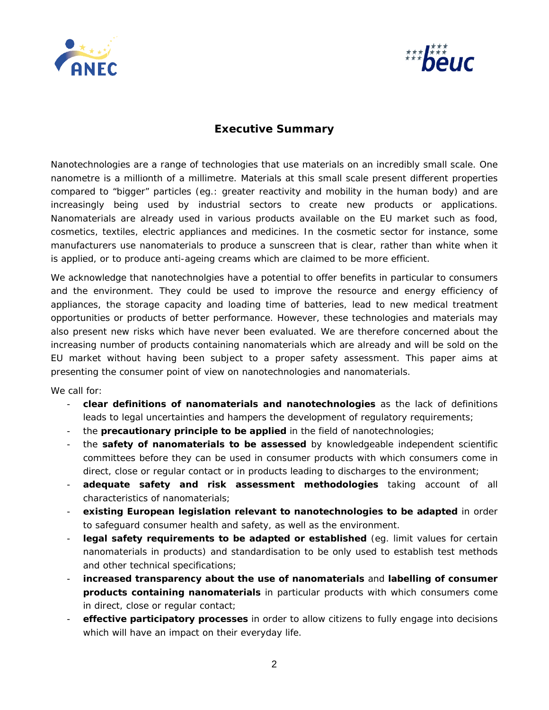



# **Executive Summary**

Nanotechnologies are a range of technologies that use materials on an incredibly small scale. One nanometre is a millionth of a millimetre. Materials at this small scale present different properties compared to "bigger" particles (eg.: greater reactivity and mobility in the human body) and are increasingly being used by industrial sectors to create new products or applications. Nanomaterials are already used in various products available on the EU market such as food, cosmetics, textiles, electric appliances and medicines. In the cosmetic sector for instance, some manufacturers use nanomaterials to produce a sunscreen that is clear, rather than white when it is applied, or to produce anti-ageing creams which are claimed to be more efficient.

We acknowledge that nanotechnolgies have a potential to offer benefits in particular to consumers and the environment. They could be used to improve the resource and energy efficiency of appliances, the storage capacity and loading time of batteries, lead to new medical treatment opportunities or products of better performance. However, these technologies and materials may also present new risks which have never been evaluated. We are therefore concerned about the increasing number of products containing nanomaterials which are already and will be sold on the EU market without having been subject to a proper safety assessment. This paper aims at presenting the consumer point of view on nanotechnologies and nanomaterials.

We call for:

- **clear definitions of nanomaterials and nanotechnologies** as the lack of definitions leads to legal uncertainties and hampers the development of regulatory requirements;
- the **precautionary principle to be applied** in the field of nanotechnologies;
- the **safety of nanomaterials to be assessed** by knowledgeable independent scientific committees before they can be used in consumer products with which consumers come in direct, close or regular contact or in products leading to discharges to the environment;
- **adequate safety and risk assessment methodologies** taking account of all characteristics of nanomaterials;
- **existing European legislation relevant to nanotechnologies to be adapted** in order to safeguard consumer health and safety, as well as the environment.
- legal safety requirements to be adapted or established (eq. limit values for certain nanomaterials in products) and standardisation to be only used to establish test methods and other technical specifications;
- **increased transparency about the use of nanomaterials** and **labelling of consumer products containing nanomaterials** in particular products with which consumers come in direct, close or regular contact;
- **effective participatory processes** in order to allow citizens to fully engage into decisions which will have an impact on their everyday life.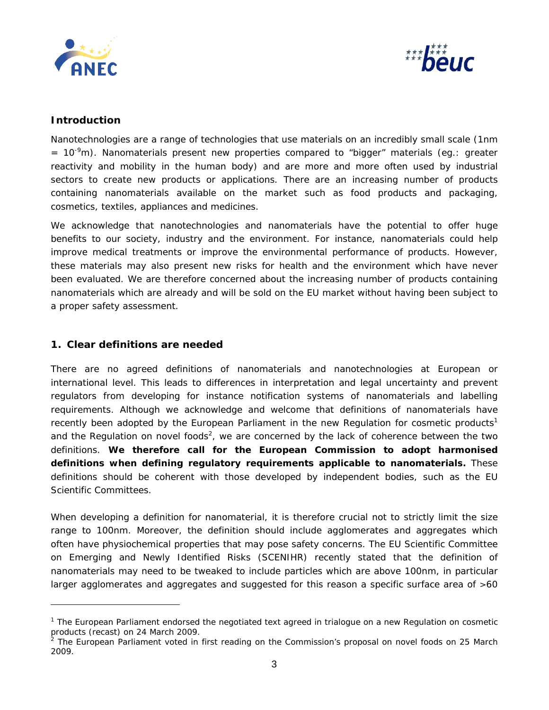



## **Introduction**

Nanotechnologies are a range of technologies that use materials on an incredibly small scale (1nm = 10<sup>-9</sup>m). Nanomaterials present new properties compared to "bigger" materials (eg.: greater reactivity and mobility in the human body) and are more and more often used by industrial sectors to create new products or applications. There are an increasing number of products containing nanomaterials available on the market such as food products and packaging, cosmetics, textiles, appliances and medicines.

We acknowledge that nanotechnologies and nanomaterials have the potential to offer huge benefits to our society, industry and the environment. For instance, nanomaterials could help improve medical treatments or improve the environmental performance of products. However, these materials may also present new risks for health and the environment which have never been evaluated. We are therefore concerned about the increasing number of products containing nanomaterials which are already and will be sold on the EU market without having been subject to a proper safety assessment.

#### **1. Clear definitions are needed**

There are no agreed definitions of nanomaterials and nanotechnologies at European or international level. This leads to differences in interpretation and legal uncertainty and prevent regulators from developing for instance notification systems of nanomaterials and labelling requirements. Although we acknowledge and welcome that definitions of nanomaterials have recently been adopted by the European Parliament in the new Regulation for cosmetic products<sup>1</sup> and the Regulation on novel foods<sup>[2](#page-2-1)</sup>, we are concerned by the lack of coherence between the two definitions. **We therefore call for the European Commission to adopt harmonised definitions when defining regulatory requirements applicable to nanomaterials.** These definitions should be coherent with those developed by independent bodies, such as the EU Scientific Committees.

When developing a definition for nanomaterial, it is therefore crucial not to strictly limit the size range to 100nm. Moreover, the definition should include agglomerates and aggregates which often have physiochemical properties that may pose safety concerns. The EU Scientific Committee on Emerging and Newly Identified Risks (SCENIHR) recently stated that the definition of nanomaterials may need to be tweaked to include particles which are above 100nm, in particular larger agglomerates and aggregates and suggested for this reason a specific surface area of >60

<span id="page-2-0"></span><sup>&</sup>lt;sup>1</sup> The European Parliament endorsed the negotiated text agreed in trialogue on a new Regulation on cosmetic products (recast) on 24 March 2009.

<span id="page-2-1"></span><sup>&</sup>lt;sup>2</sup> The European Parliament voted in first reading on the Commission's proposal on novel foods on 25 March 2009.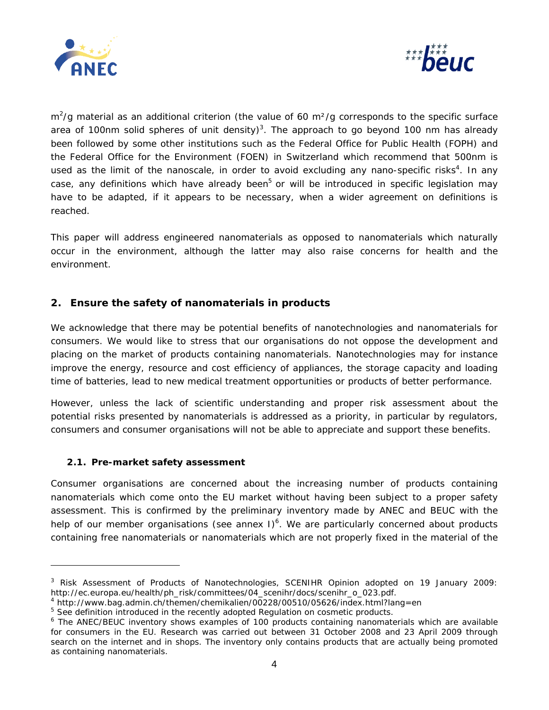



 $\rm m^2/g$  material as an additional criterion (the value of 60 m<sup>2</sup>/g corresponds to the specific surface area of 100nm solid spheres of unit density)<sup>3</sup>. The approach to go beyond 100 nm has already been followed by some other institutions such as the Federal Office for Public Health (FOPH) and the Federal Office for the Environment (FOEN) in Switzerland which recommend that 500nm is used as the limit of the nanoscale, in order to avoid excluding any nano-specific risks<sup>[4](#page-3-1)</sup>. In any case, any definitions which have already been<sup>5</sup> or will be introduced in specific legislation may have to be adapted, if it appears to be necessary, when a wider agreement on definitions is reached.

This paper will address engineered nanomaterials as opposed to nanomaterials which naturally occur in the environment, although the latter may also raise concerns for health and the environment.

## **2. Ensure the safety of nanomaterials in products**

We acknowledge that there may be potential benefits of nanotechnologies and nanomaterials for consumers. We would like to stress that our organisations do not oppose the development and placing on the market of products containing nanomaterials. Nanotechnologies may for instance improve the energy, resource and cost efficiency of appliances, the storage capacity and loading time of batteries, lead to new medical treatment opportunities or products of better performance.

However, unless the lack of scientific understanding and proper risk assessment about the potential risks presented by nanomaterials is addressed as a priority, in particular by regulators, consumers and consumer organisations will not be able to appreciate and support these benefits.

#### **2.1. Pre-market safety assessment**

Consumer organisations are concerned about the increasing number of products containing nanomaterials which come onto the EU market without having been subject to a proper safety assessment. This is confirmed by the preliminary inventory made by ANEC and BEUC with the help of our member organisations (see annex I)<sup>6</sup>. We are particularly concerned about products containing free nanomaterials or nanomaterials which are not properly fixed in the material of the

<span id="page-3-0"></span><sup>&</sup>lt;sup>3</sup> Risk Assessment of Products of Nanotechnologies, SCENIHR Opinion adopted on 19 January 2009: http://ec.europa.eu/health/ph\_risk/committees/04\_scenihr/docs/scenihr\_o\_023.pdf.

<span id="page-3-1"></span>http://www.bag.admin.ch/themen/chemikalien/00228/00510/05626/index.html?lang=en 5

<span id="page-3-2"></span><sup>&</sup>lt;sup>5</sup> See definition introduced in the recently adopted Regulation on cosmetic products.

<span id="page-3-3"></span><sup>&</sup>lt;sup>6</sup> The ANEC/BEUC inventory shows examples of 100 products containing nanomaterials which are available for consumers in the EU. Research was carried out between 31 October 2008 and 23 April 2009 through search on the internet and in shops. The inventory only contains products that are actually being promoted as containing nanomaterials.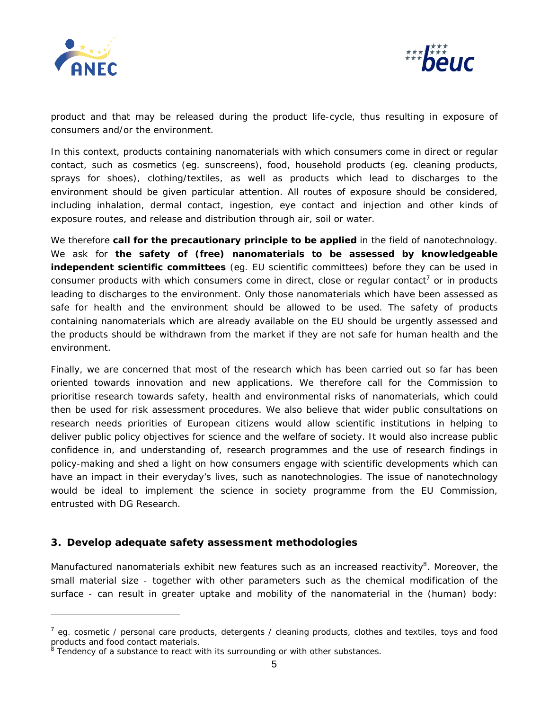



product and that may be released during the product life-cycle, thus resulting in exposure of consumers and/or the environment.

In this context, products containing nanomaterials with which consumers come in direct or regular contact, such as cosmetics (eg. sunscreens), food, household products (eg. cleaning products, sprays for shoes), clothing/textiles, as well as products which lead to discharges to the environment should be given particular attention. All routes of exposure should be considered, including inhalation, dermal contact, ingestion, eye contact and injection and other kinds of exposure routes, and release and distribution through air, soil or water.

We therefore **call for the precautionary principle to be applied** in the field of nanotechnology. We ask for **the safety of (free) nanomaterials to be assessed by knowledgeable independent scientific committees** (eg. EU scientific committees) before they can be used in consumer products with which consumers come in direct, close or regular contact<sup>[7](#page-4-0)</sup> or in products leading to discharges to the environment. Only those nanomaterials which have been assessed as safe for health and the environment should be allowed to be used. The safety of products containing nanomaterials which are already available on the EU should be urgently assessed and the products should be withdrawn from the market if they are not safe for human health and the environment.

Finally, we are concerned that most of the research which has been carried out so far has been oriented towards innovation and new applications. We therefore call for the Commission to prioritise research towards safety, health and environmental risks of nanomaterials, which could then be used for risk assessment procedures. We also believe that wider public consultations on research needs priorities of European citizens would allow scientific institutions in helping to deliver public policy objectives for science and the welfare of society. It would also increase public confidence in, and understanding of, research programmes and the use of research findings in policy-making and shed a light on how consumers engage with scientific developments which can have an impact in their everyday's lives, such as nanotechnologies. The issue of nanotechnology would be ideal to implement the science in society programme from the EU Commission, entrusted with DG Research.

## **3. Develop adequate safety assessment methodologies**

Manufactured nanomaterials exhibit new features such as an increased reactivity $^8$ . Moreover, the small material size - together with other parameters such as the chemical modification of the surface - can result in greater uptake and mobility of the nanomaterial in the (human) body:

<span id="page-4-0"></span> $^7$  eg. cosmetic / personal care products, detergents / cleaning products, clothes and textiles, toys and food products and food contact materials.<br><sup>8</sup> Tondonsy of a substance to react wi

<span id="page-4-1"></span>Tendency of a substance to react with its surrounding or with other substances.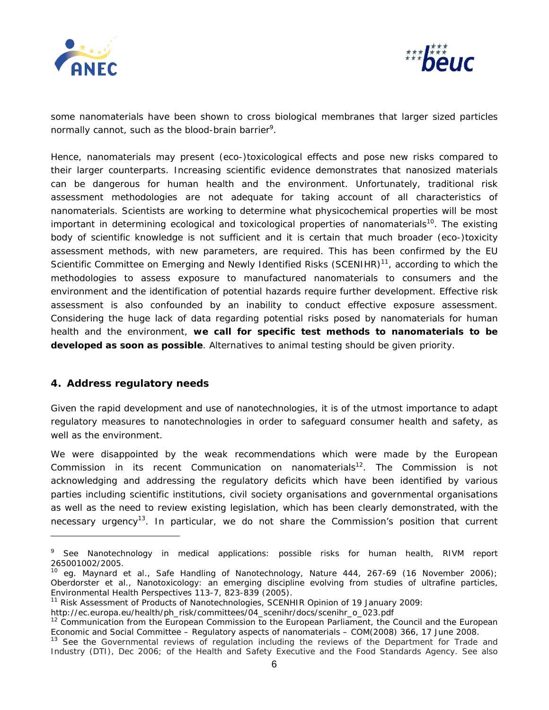



some nanomaterials have been shown to cross biological membranes that larger sized particles normally cannot, such as the blood-brain barrier<sup>[9](#page-5-0)</sup>.

Hence, nanomaterials may present (eco-)toxicological effects and pose new risks compared to their larger counterparts. Increasing scientific evidence demonstrates that nanosized materials can be dangerous for human health and the environment. Unfortunately, traditional risk assessment methodologies are not adequate for taking account of all characteristics of nanomaterials. Scientists are working to determine what physicochemical properties will be most important in determining ecological and toxicological properties of nanomaterials<sup>10</sup>. The existing body of scientific knowledge is not sufficient and it is certain that much broader (eco-)toxicity assessment methods, with new parameters, are required. This has been confirmed by the EU Scientific Committee on Emerging and Newly Identified Risks (SCENIHR)<sup>11</sup>, according to which the methodologies to assess exposure to manufactured nanomaterials to consumers and the environment and the identification of potential hazards require further development. Effective risk assessment is also confounded by an inability to conduct effective exposure assessment. Considering the huge lack of data regarding potential risks posed by nanomaterials for human health and the environment, **we call for specific test methods to nanomaterials to be developed as soon as possible**. Alternatives to animal testing should be given priority.

## **4. Address regulatory needs**

Given the rapid development and use of nanotechnologies, it is of the utmost importance to adapt regulatory measures to nanotechnologies in order to safeguard consumer health and safety, as well as the environment.

We were disappointed by the weak recommendations which were made by the European Commission in its recent Communication on nanomaterials<sup>12</sup>. The Commission is not acknowledging and addressing the regulatory deficits which have been identified by various parties including scientific institutions, civil society organisations and governmental organisations as well as the need to review existing legislation, which has been clearly demonstrated, with the necessary urgency<sup>13</sup>. In particular, we do not share the Commission's position that current

<span id="page-5-0"></span><sup>&</sup>lt;sup>9</sup> See Nanotechnology in medical applications: possible risks for human health, RIVM report 265001002/2005.

<span id="page-5-1"></span><sup>&</sup>lt;sup>10</sup> eg. Maynard et al., Safe Handling of Nanotechnology, Nature 444, 267-69 (16 November 2006); Oberdorster et al., Nanotoxicology: an emerging discipline evolving from studies of ultrafine particles, Environmental Health Perspectives 113-7, 823-839 (2005).

<span id="page-5-2"></span><sup>&</sup>lt;sup>11</sup> Risk Assessment of Products of Nanotechnologies, SCENHIR Opinion of 19 January 2009:

<span id="page-5-3"></span>

http://ec.europa.eu/health/ph\_risk/committees/04\_scenihr/docs/scenihr\_o\_023.pdf<br><sup>12</sup> Communication from the European Commission to the European Parliament, the Council and the European Economic and Social Committee – Regulatory aspects of nanomaterials – COM(2008) 366, 17 June 2008.

<span id="page-5-4"></span> $13$  See the Governmental reviews of regulation including the reviews of the Department for Trade and Industry (DTI), Dec 2006; of the Health and Safety Executive and the Food Standards Agency. See also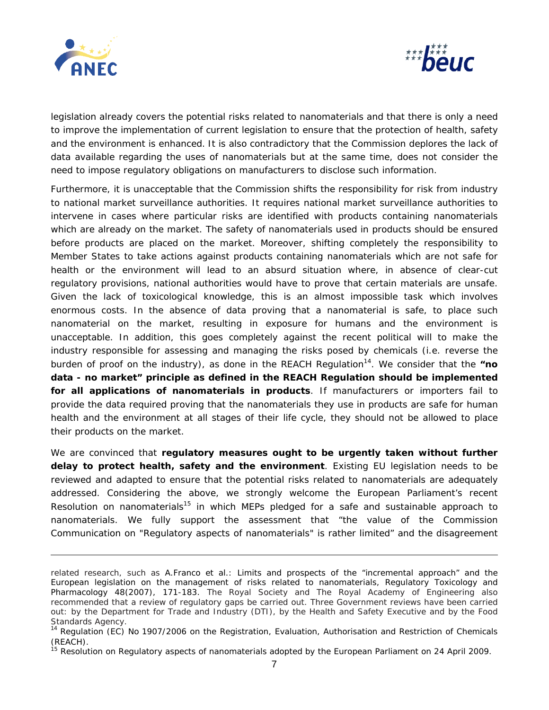

 $\overline{a}$ 



legislation already covers the potential risks related to nanomaterials and that there is only a need to improve the implementation of current legislation to ensure that the protection of health, safety and the environment is enhanced. It is also contradictory that the Commission deplores the lack of data available regarding the uses of nanomaterials but at the same time, does not consider the need to impose regulatory obligations on manufacturers to disclose such information.

Furthermore, it is unacceptable that the Commission shifts the responsibility for risk from industry to national market surveillance authorities. It requires national market surveillance authorities to intervene in cases where particular risks are identified with products containing nanomaterials which are already on the market. The safety of nanomaterials used in products should be ensured before products are placed on the market. Moreover, shifting completely the responsibility to Member States to take actions against products containing nanomaterials which are not safe for health or the environment will lead to an absurd situation where, in absence of clear-cut regulatory provisions, national authorities would have to prove that certain materials are unsafe. Given the lack of toxicological knowledge, this is an almost impossible task which involves enormous costs. In the absence of data proving that a nanomaterial is safe, to place such nanomaterial on the market, resulting in exposure for humans and the environment is unacceptable. In addition, this goes completely against the recent political will to make the industry responsible for assessing and managing the risks posed by chemicals (i.e. reverse the burden of proof on the industry), as done in the REACH Regulation<sup>14</sup>. We consider that the "no **data - no market" principle as defined in the REACH Regulation should be implemented for all applications of nanomaterials in products**. If manufacturers or importers fail to provide the data required proving that the nanomaterials they use in products are safe for human health and the environment at all stages of their life cycle, they should not be allowed to place their products on the market.

We are convinced that **regulatory measures ought to be urgently taken without further delay to protect health, safety and the environment**. Existing EU legislation needs to be reviewed and adapted to ensure that the potential risks related to nanomaterials are adequately addressed. Considering the above, we strongly welcome the European Parliament's recent Resolution on nanomaterials<sup>15</sup> in which MEPs pledged for a safe and sustainable approach to nanomaterials. We fully support the assessment that "the value of the Commission Communication on "Regulatory aspects of nanomaterials" is rather limited" and the disagreement

related research, such as A.Franco et al.: Limits and prospects of the "incremental approach" and the European legislation on the management of risks related to nanomaterials, Regulatory Toxicology and Pharmacology 48(2007), 171-183. The Royal Society and The Royal Academy of Engineering also recommended that a review of regulatory gaps be carried out. Three Government reviews have been carried out: by the Department for Trade and Industry (DTI), by the Health and Safety Executive and by the Food Standards Agency.

<span id="page-6-0"></span>Regulation (EC) No 1907/2006 on the Registration, Evaluation, Authorisation and Restriction of Chemicals (REACH).

<span id="page-6-1"></span><sup>&</sup>lt;sup>15</sup> Resolution on Regulatory aspects of nanomaterials adopted by the European Parliament on 24 April 2009.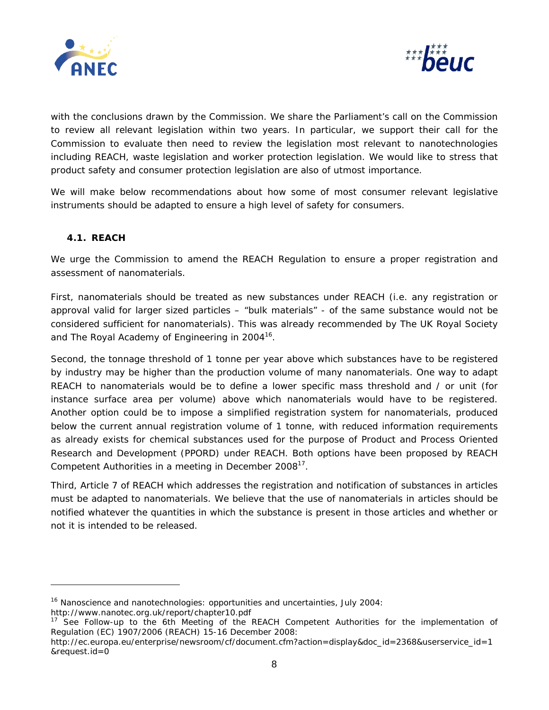



with the conclusions drawn by the Commission. We share the Parliament's call on the Commission to review all relevant legislation within two years. In particular, we support their call for the Commission to evaluate then need to review the legislation most relevant to nanotechnologies including REACH, waste legislation and worker protection legislation. We would like to stress that product safety and consumer protection legislation are also of utmost importance.

We will make below recommendations about how some of most consumer relevant legislative instruments should be adapted to ensure a high level of safety for consumers.

## **4.1. REACH**

 $\overline{a}$ 

We urge the Commission to amend the REACH Regulation to ensure a proper registration and assessment of nanomaterials.

First, nanomaterials should be treated as new substances under REACH (i.e. any registration or approval valid for larger sized particles – "bulk materials" - of the same substance would not be considered sufficient for nanomaterials). This was already recommended by The UK Royal Society and The Royal Academy of Engineering in 2004<sup>16</sup>.

Second, the tonnage threshold of 1 tonne per year above which substances have to be registered by industry may be higher than the production volume of many nanomaterials. One way to adapt REACH to nanomaterials would be to define a lower specific mass threshold and / or unit (for instance surface area per volume) above which nanomaterials would have to be registered. Another option could be to impose a simplified registration system for nanomaterials, produced below the current annual registration volume of 1 tonne, with reduced information requirements as already exists for chemical substances used for the purpose of Product and Process Oriented Research and Development (PPORD) under REACH. Both options have been proposed by REACH Competent Authorities in a meeting in December 2008<sup>17</sup>.

Third, Article 7 of REACH which addresses the registration and notification of substances in articles must be adapted to nanomaterials. We believe that the use of nanomaterials in articles should be notified whatever the quantities in which the substance is present in those articles and whether or not it is intended to be released.

<span id="page-7-0"></span><sup>&</sup>lt;sup>16</sup> Nanoscience and nanotechnologies: opportunities and uncertainties, July 2004:<br>http://www.nanotec.org.uk/report/chapter10.pdf

<span id="page-7-1"></span> $17$  See Follow-up to the 6th Meeting of the REACH Competent Authorities for the implementation of Regulation (EC) 1907/2006 (REACH) 15-16 December 2008:

[http://ec.europa.eu/enterprise/newsroom/cf/document.cfm?action=display&doc\\_id=2368&userservice\\_id=1](http://ec.europa.eu/enterprise/newsroom/cf/document.cfm?action=display&doc_id=2368&userservice_id=1&request.id=0) [&request.id=0](http://ec.europa.eu/enterprise/newsroom/cf/document.cfm?action=display&doc_id=2368&userservice_id=1&request.id=0)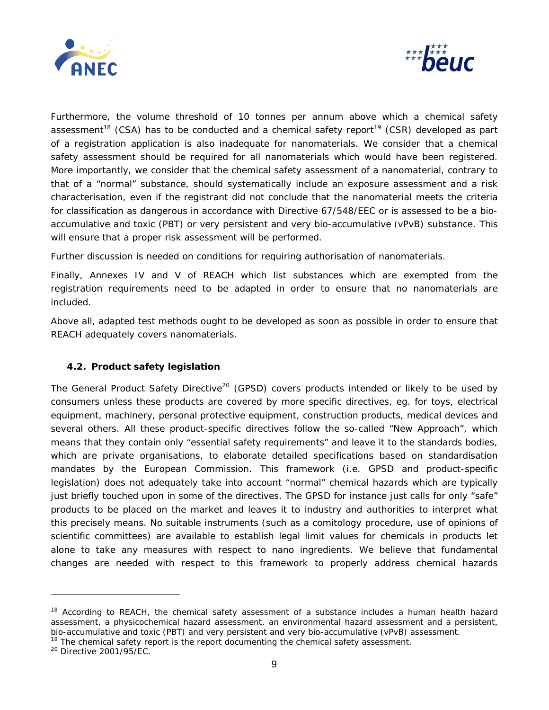



Furthermore, the volume threshold of 10 tonnes per annum above which a chemical safety assessment<sup>18</sup> (CSA) has to be conducted and a chemical safety report<sup>19</sup> (CSR) developed as part of a registration application is also inadequate for nanomaterials. We consider that a chemical safety assessment should be required for all nanomaterials which would have been registered. More importantly, we consider that the chemical safety assessment of a nanomaterial, contrary to that of a "normal" substance, should systematically include an exposure assessment and a risk characterisation, even if the registrant did not conclude that the nanomaterial meets the criteria for classification as dangerous in accordance with Directive 67/548/EEC or is assessed to be a bioaccumulative and toxic (PBT) or very persistent and very bio-accumulative (vPvB) substance. This will ensure that a proper risk assessment will be performed.

Further discussion is needed on conditions for requiring authorisation of nanomaterials.

Finally, Annexes IV and V of REACH which list substances which are exempted from the registration requirements need to be adapted in order to ensure that no nanomaterials are included.

Above all, adapted test methods ought to be developed as soon as possible in order to ensure that REACH adequately covers nanomaterials.

## **4.2. Product safety legislation**

The General Product Safety Directive<sup>20</sup> (GPSD) covers products intended or likely to be used by consumers unless these products are covered by more specific directives, eg. for toys, electrical equipment, machinery, personal protective equipment, construction products, medical devices and several others. All these product-specific directives follow the so-called "New Approach", which means that they contain only "essential safety requirements" and leave it to the standards bodies, which are private organisations, to elaborate detailed specifications based on standardisation mandates by the European Commission. This framework (i.e. GPSD and product-specific legislation) does not adequately take into account "normal" chemical hazards which are typically just briefly touched upon in some of the directives. The GPSD for instance just calls for only "safe" products to be placed on the market and leaves it to industry and authorities to interpret what this precisely means. No suitable instruments (such as a comitology procedure, use of opinions of scientific committees) are available to establish legal limit values for chemicals in products let alone to take any measures with respect to nano ingredients. We believe that fundamental changes are needed with respect to this framework to properly address chemical hazards

<span id="page-8-0"></span><sup>&</sup>lt;sup>18</sup> According to REACH, the chemical safety assessment of a substance includes a human health hazard assessment, a physicochemical hazard assessment, an environmental hazard assessment and a persistent, bio-accumulative and toxic (PBT) and very persistent and very bio-accumulative (vPvB) assessment.<br><sup>19</sup> The chemical safety report is the report documenting the chemical safety assessment.<br><sup>20</sup> Directive 2001/95/EC.

<span id="page-8-1"></span>

<span id="page-8-2"></span>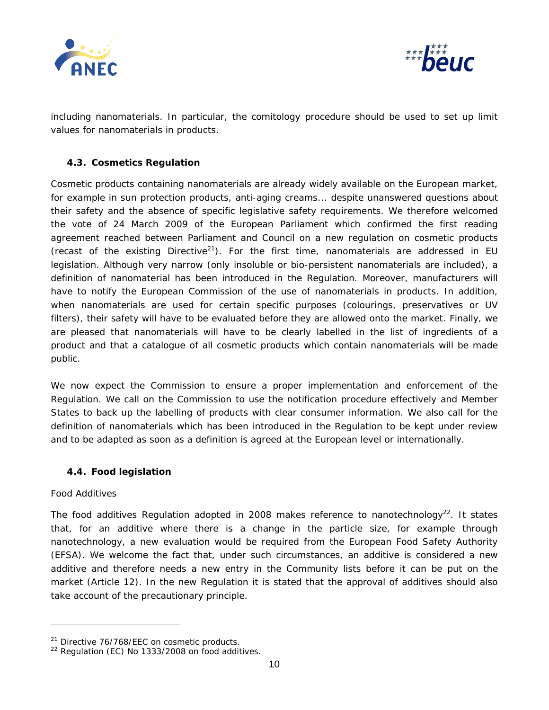



including nanomaterials. In particular, the comitology procedure should be used to set up limit values for nanomaterials in products.

### **4.3. Cosmetics Regulation**

Cosmetic products containing nanomaterials are already widely available on the European market, for example in sun protection products, anti-aging creams... despite unanswered questions about their safety and the absence of specific legislative safety requirements. We therefore welcomed the vote of 24 March 2009 of the European Parliament which confirmed the first reading agreement reached between Parliament and Council on a new regulation on cosmetic products (recast of the existing Directive<sup>21</sup>). For the first time, nanomaterials are addressed in EU legislation. Although very narrow (only insoluble or bio-persistent nanomaterials are included), a definition of nanomaterial has been introduced in the Regulation. Moreover, manufacturers will have to notify the European Commission of the use of nanomaterials in products. In addition, when nanomaterials are used for certain specific purposes (colourings, preservatives or UV filters), their safety will have to be evaluated before they are allowed onto the market. Finally, we are pleased that nanomaterials will have to be clearly labelled in the list of ingredients of a product and that a catalogue of all cosmetic products which contain nanomaterials will be made public.

We now expect the Commission to ensure a proper implementation and enforcement of the Regulation. We call on the Commission to use the notification procedure effectively and Member States to back up the labelling of products with clear consumer information. We also call for the definition of nanomaterials which has been introduced in the Regulation to be kept under review and to be adapted as soon as a definition is agreed at the European level or internationally.

#### **4.4. Food legislation**

#### *Food Additives*

The food additives Regulation adopted in 2008 makes reference to nanotechnology<sup>22</sup>. It states that, for an additive where there is a change in the particle size, for example through nanotechnology, a new evaluation would be required from the European Food Safety Authority (EFSA). We welcome the fact that, under such circumstances, an additive is considered a new additive and therefore needs a new entry in the Community lists before it can be put on the market (Article 12). In the new Regulation it is stated that the approval of additives should also take account of the precautionary principle.

<span id="page-9-1"></span><span id="page-9-0"></span>

<sup>&</sup>lt;sup>21</sup> Directive 76/768/EEC on cosmetic products.<br><sup>22</sup> Regulation (EC) No 1333/2008 on food additives.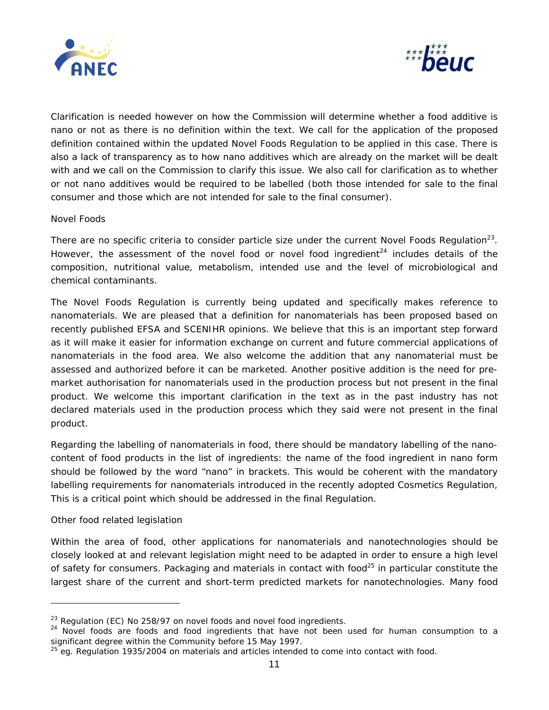



Clarification is needed however on how the Commission will determine whether a food additive is nano or not as there is no definition within the text. We call for the application of the proposed definition contained within the updated Novel Foods Regulation to be applied in this case. There is also a lack of transparency as to how nano additives which are already on the market will be dealt with and we call on the Commission to clarify this issue. We also call for clarification as to whether or not nano additives would be required to be labelled (both those intended for sale to the final consumer and those which are not intended for sale to the final consumer).

#### *Novel Foods*

There are no specific criteria to consider particle size under the current Novel Foods Regulation<sup>23</sup>. However, the assessment of the novel food or novel food ingredient<sup>24</sup> includes details of the composition, nutritional value, metabolism, intended use and the level of microbiological and chemical contaminants.

The Novel Foods Regulation is currently being updated and specifically makes reference to nanomaterials. We are pleased that a definition for nanomaterials has been proposed based on recently published EFSA and SCENIHR opinions. We believe that this is an important step forward as it will make it easier for information exchange on current and future commercial applications of nanomaterials in the food area. We also welcome the addition that any nanomaterial must be assessed and authorized before it can be marketed. Another positive addition is the need for premarket authorisation for nanomaterials used in the production process but not present in the final product. We welcome this important clarification in the text as in the past industry has not declared materials used in the production process which they said were not present in the final product.

Regarding the labelling of nanomaterials in food, there should be mandatory labelling of the nanocontent of food products in the list of ingredients: the name of the food ingredient in nano form should be followed by the word "nano" in brackets. This would be coherent with the mandatory labelling requirements for nanomaterials introduced in the recently adopted Cosmetics Regulation, This is a critical point which should be addressed in the final Regulation.

## *Other food related legislation*

Within the area of food, other applications for nanomaterials and nanotechnologies should be closely looked at and relevant legislation might need to be adapted in order to ensure a high level of safety for consumers. Packaging and materials in contact with food<sup>25</sup> in particular constitute the largest share of the current and short-term predicted markets for nanotechnologies. Many food

<span id="page-10-1"></span><span id="page-10-0"></span>

<sup>&</sup>lt;sup>23</sup> Regulation (EC) No 258/97 on novel foods and novel food ingredients.<br><sup>24</sup> Novel foods are foods and food ingredients that have not been used for human consumption to a significant degree within the Community before 15 May 1997.

<span id="page-10-2"></span> $25$  eg. Regulation 1935/2004 on materials and articles intended to come into contact with food.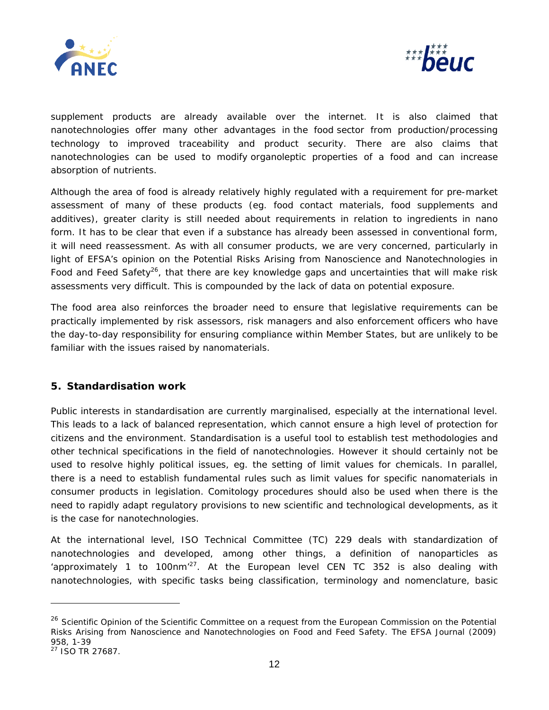



supplement products are already available over the internet. It is also claimed that nanotechnologies offer many other advantages in the food sector from production/processing technology to improved traceability and product security. There are also claims that nanotechnologies can be used to modify organoleptic properties of a food and can increase absorption of nutrients.

Although the area of food is already relatively highly regulated with a requirement for pre-market assessment of many of these products (eg. food contact materials, food supplements and additives), greater clarity is still needed about requirements in relation to ingredients in nano form. It has to be clear that even if a substance has already been assessed in conventional form, it will need reassessment. As with all consumer products, we are very concerned, particularly in light of EFSA's opinion on the Potential Risks Arising from Nanoscience and Nanotechnologies in Food and Feed Safety<sup>26</sup>, that there are key knowledge gaps and uncertainties that will make risk assessments very difficult. This is compounded by the lack of data on potential exposure.

The food area also reinforces the broader need to ensure that legislative requirements can be practically implemented by risk assessors, risk managers and also enforcement officers who have the day-to-day responsibility for ensuring compliance within Member States, but are unlikely to be familiar with the issues raised by nanomaterials.

## **5. Standardisation work**

Public interests in standardisation are currently marginalised, especially at the international level. This leads to a lack of balanced representation, which cannot ensure a high level of protection for citizens and the environment. Standardisation is a useful tool to establish test methodologies and other technical specifications in the field of nanotechnologies. However it should certainly not be used to resolve highly political issues, eg. the setting of limit values for chemicals. In parallel, there is a need to establish fundamental rules such as limit values for specific nanomaterials in consumer products in legislation. Comitology procedures should also be used when there is the need to rapidly adapt regulatory provisions to new scientific and technological developments, as it is the case for nanotechnologies.

At the international level, ISO Technical Committee (TC) 229 deals with standardization of nanotechnologies and developed, among other things, a definition of nanoparticles as 'approximately 1 to 100nm<sup>'27</sup>. At the European level CEN TC 352 is also dealing with nanotechnologies, with specific tasks being classification, terminology and nomenclature, basic

<span id="page-11-0"></span><sup>&</sup>lt;sup>26</sup> Scientific Opinion of the Scientific Committee on a request from the European Commission on the Potential Risks Arising from Nanoscience and Nanotechnologies on Food and Feed Safety. The EFSA Journal (2009) 958, 1-39

<span id="page-11-1"></span><sup>&</sup>lt;sup>27</sup> ISO TR 27687.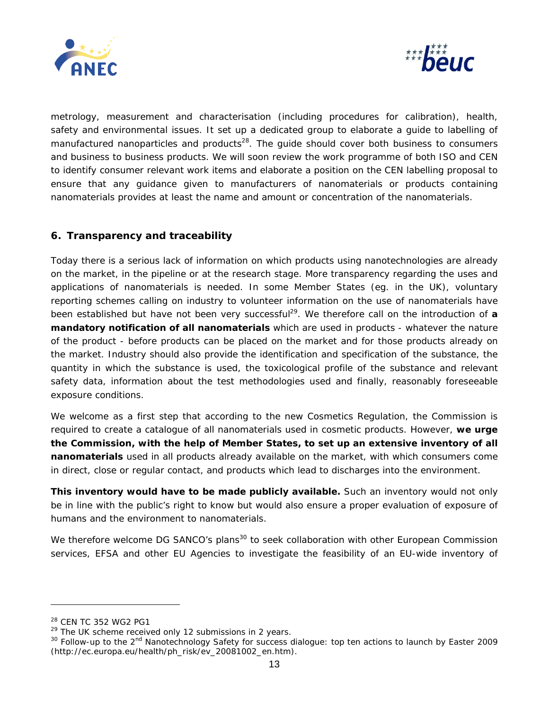



metrology, measurement and characterisation (including procedures for calibration), health, safety and environmental issues. It set up a dedicated group to elaborate a guide to labelling of manufactured nanoparticles and products<sup>28</sup>. The guide should cover both business to consumers and business to business products. We will soon review the work programme of both ISO and CEN to identify consumer relevant work items and elaborate a position on the CEN labelling proposal to ensure that any guidance given to manufacturers of nanomaterials or products containing nanomaterials provides at least the name and amount or concentration of the nanomaterials.

# **6. Transparency and traceability**

Today there is a serious lack of information on which products using nanotechnologies are already on the market, in the pipeline or at the research stage. More transparency regarding the uses and applications of nanomaterials is needed. In some Member States (eg. in the UK), voluntary reporting schemes calling on industry to volunteer information on the use of nanomaterials have been established but have not been very successful<sup>29</sup>. We therefore call on the introduction of a **mandatory notification of all nanomaterials** which are used in products - whatever the nature of the product - before products can be placed on the market and for those products already on the market. Industry should also provide the identification and specification of the substance, the quantity in which the substance is used, the toxicological profile of the substance and relevant safety data, information about the test methodologies used and finally, reasonably foreseeable exposure conditions.

We welcome as a first step that according to the new Cosmetics Regulation, the Commission is required to create a catalogue of all nanomaterials used in cosmetic products. However, **we urge the Commission, with the help of Member States, to set up an extensive inventory of all nanomaterials** used in all products already available on the market, with which consumers come in direct, close or regular contact, and products which lead to discharges into the environment.

**This inventory would have to be made publicly available.** Such an inventory would not only be in line with the public's right to know but would also ensure a proper evaluation of exposure of humans and the environment to nanomaterials.

We therefore welcome DG SANCO's plans<sup>30</sup> to seek collaboration with other European Commission services, EFSA and other EU Agencies to investigate the feasibility of an EU-wide inventory of

<span id="page-12-1"></span><span id="page-12-0"></span>

<sup>&</sup>lt;sup>28</sup> CEN TC 352 WG2 PG1<br><sup>29</sup> The UK scheme received only 12 submissions in 2 years.

<span id="page-12-2"></span> $30$  Follow-up to the 2<sup>nd</sup> Nanotechnology Safety for success dialogue: top ten actions to launch by Easter 2009 (http://ec.europa.eu/health/ph\_risk/ev\_20081002\_en.htm).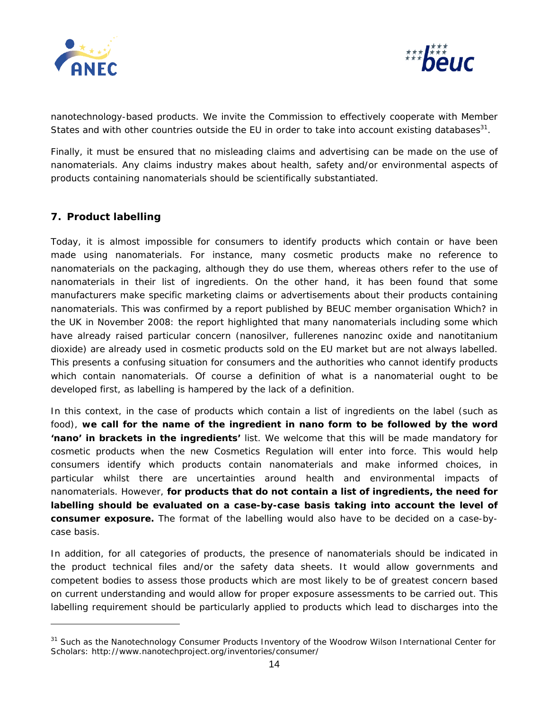



nanotechnology-based products. We invite the Commission to effectively cooperate with Member States and with other countries outside the EU in order to take into account existing databases<sup>31</sup>.

Finally, it must be ensured that no misleading claims and advertising can be made on the use of nanomaterials. Any claims industry makes about health, safety and/or environmental aspects of products containing nanomaterials should be scientifically substantiated.

## **7. Product labelling**

Today, it is almost impossible for consumers to identify products which contain or have been made using nanomaterials. For instance, many cosmetic products make no reference to nanomaterials on the packaging, although they do use them, whereas others refer to the use of nanomaterials in their list of ingredients. On the other hand, it has been found that some manufacturers make specific marketing claims or advertisements about their products containing nanomaterials. This was confirmed by a report published by BEUC member organisation Which? in the UK in November 2008: the report highlighted that many nanomaterials including some which have already raised particular concern (nanosilver, fullerenes nanozinc oxide and nanotitanium dioxide) are already used in cosmetic products sold on the EU market but are not always labelled. This presents a confusing situation for consumers and the authorities who cannot identify products which contain nanomaterials. Of course a definition of what is a nanomaterial ought to be developed first, as labelling is hampered by the lack of a definition.

In this context, in the case of products which contain a list of ingredients on the label (such as food), **we call for the name of the ingredient in nano form to be followed by the word 'nano' in brackets in the ingredients'** list. We welcome that this will be made mandatory for cosmetic products when the new Cosmetics Regulation will enter into force. This would help consumers identify which products contain nanomaterials and make informed choices, in particular whilst there are uncertainties around health and environmental impacts of nanomaterials. However, **for products that do not contain a list of ingredients, the need for labelling should be evaluated on a case-by-case basis taking into account the level of consumer exposure.** The format of the labelling would also have to be decided on a case-bycase basis.

In addition, for all categories of products, the presence of nanomaterials should be indicated in the product technical files and/or the safety data sheets. It would allow governments and competent bodies to assess those products which are most likely to be of greatest concern based on current understanding and would allow for proper exposure assessments to be carried out. This labelling requirement should be particularly applied to products which lead to discharges into the

<span id="page-13-0"></span><sup>&</sup>lt;sup>31</sup> Such as the Nanotechnology Consumer Products Inventory of the Woodrow Wilson International Center for Scholars: http://www.nanotechproject.org/inventories/consumer/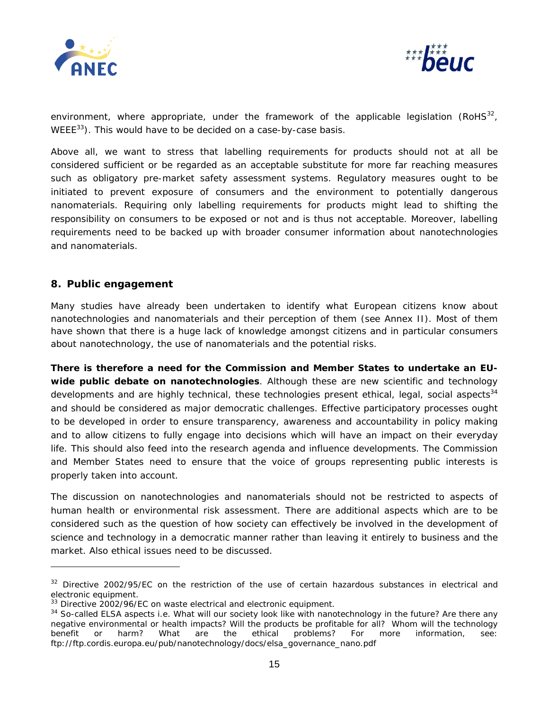



environment, where appropriate, under the framework of the applicable legislation (RoHS<sup>32</sup>,  $WEE^{33}$ ). This would have to be decided on a case-by-case basis.

Above all, we want to stress that labelling requirements for products should not at all be considered sufficient or be regarded as an acceptable substitute for more far reaching measures such as obligatory pre-market safety assessment systems. Regulatory measures ought to be initiated to prevent exposure of consumers and the environment to potentially dangerous nanomaterials. Requiring only labelling requirements for products might lead to shifting the responsibility on consumers to be exposed or not and is thus not acceptable. Moreover, labelling requirements need to be backed up with broader consumer information about nanotechnologies and nanomaterials.

#### **8. Public engagement**

Many studies have already been undertaken to identify what European citizens know about nanotechnologies and nanomaterials and their perception of them (see Annex II). Most of them have shown that there is a huge lack of knowledge amongst citizens and in particular consumers about nanotechnology, the use of nanomaterials and the potential risks.

**There is therefore a need for the Commission and Member States to undertake an EUwide public debate on nanotechnologies**. Although these are new scientific and technology developments and are highly technical, these technologies present ethical, legal, social aspects<sup>34</sup> and should be considered as major democratic challenges. Effective participatory processes ought to be developed in order to ensure transparency, awareness and accountability in policy making and to allow citizens to fully engage into decisions which will have an impact on their everyday life. This should also feed into the research agenda and influence developments. The Commission and Member States need to ensure that the voice of groups representing public interests is properly taken into account.

The discussion on nanotechnologies and nanomaterials should not be restricted to aspects of human health or environmental risk assessment. There are additional aspects which are to be considered such as the question of how society can effectively be involved in the development of science and technology in a democratic manner rather than leaving it entirely to business and the market. Also ethical issues need to be discussed.

<span id="page-14-0"></span> $32$  Directive 2002/95/EC on the restriction of the use of certain hazardous substances in electrical and electronic equipment.

<span id="page-14-2"></span><span id="page-14-1"></span>

<sup>&</sup>lt;sup>33</sup> Directive 2002/96/EC on waste electrical and electronic equipment.<br><sup>34</sup> So-called ELSA aspects i.e. What will our society look like with nanotechnology in the future? Are there any negative environmental or health impacts? Will the products be profitable for all? Whom will the technology benefit or harm? What are the ethical problems? For more information, see: ftp://ftp.cordis.europa.eu/pub/nanotechnology/docs/elsa\_governance\_nano.pdf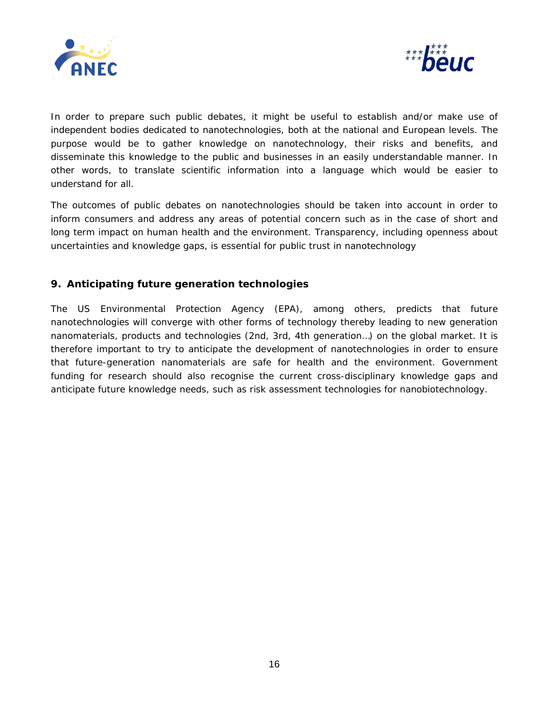



In order to prepare such public debates, it might be useful to establish and/or make use of independent bodies dedicated to nanotechnologies, both at the national and European levels. The purpose would be to gather knowledge on nanotechnology, their risks and benefits, and disseminate this knowledge to the public and businesses in an easily understandable manner. In other words, to translate scientific information into a language which would be easier to understand for all.

The outcomes of public debates on nanotechnologies should be taken into account in order to inform consumers and address any areas of potential concern such as in the case of short and long term impact on human health and the environment. Transparency, including openness about uncertainties and knowledge gaps, is essential for public trust in nanotechnology

## **9. Anticipating future generation technologies**

The US Environmental Protection Agency (EPA), among others, predicts that future nanotechnologies will converge with other forms of technology thereby leading to new generation nanomaterials, products and technologies (2nd, 3rd, 4th generation…) on the global market. It is therefore important to try to anticipate the development of nanotechnologies in order to ensure that future-generation nanomaterials are safe for health and the environment. Government funding for research should also recognise the current cross-disciplinary knowledge gaps and anticipate future knowledge needs, such as risk assessment technologies for nanobiotechnology.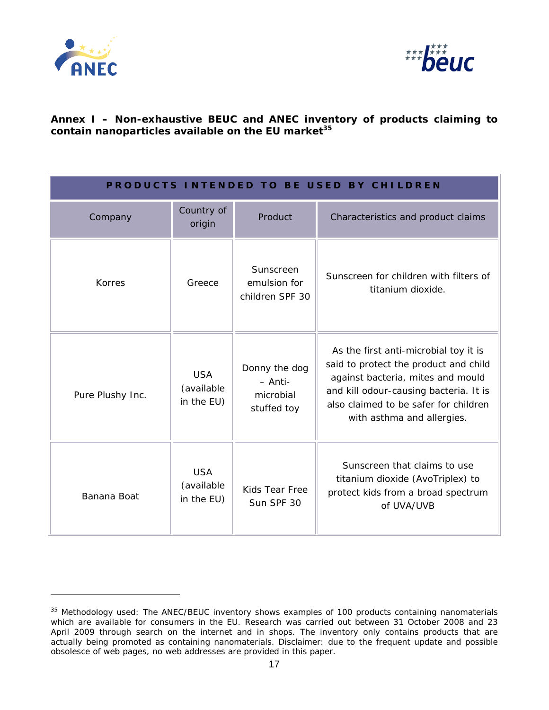



# **Annex I – Non-exhaustive BEUC and ANEC inventory of products claiming to contain nanoparticles available on the EU market[35](#page-16-0)**

| PRODUCTS INTENDED TO BE USED BY CHILDREN |                                        |                                                      |                                                                                                                                                                                                                                      |  |
|------------------------------------------|----------------------------------------|------------------------------------------------------|--------------------------------------------------------------------------------------------------------------------------------------------------------------------------------------------------------------------------------------|--|
| Company                                  | Country of<br>origin                   | Product                                              | Characteristics and product claims                                                                                                                                                                                                   |  |
| <b>Korres</b>                            | Greece                                 | Sunscreen<br>emulsion for<br>children SPF 30         | Sunscreen for children with filters of<br>titanium dioxide.                                                                                                                                                                          |  |
| Pure Plushy Inc.                         | <b>USA</b><br>(available<br>in the EU) | Donny the dog<br>- Anti-<br>microbial<br>stuffed toy | As the first anti-microbial toy it is<br>said to protect the product and child<br>against bacteria, mites and mould<br>and kill odour-causing bacteria. It is<br>also claimed to be safer for children<br>with asthma and allergies. |  |
| Banana Boat                              | <b>USA</b><br>(available<br>in the EU) | Kids Tear Free<br>Sun SPF 30                         | Sunscreen that claims to use<br>titanium dioxide (AvoTriplex) to<br>protect kids from a broad spectrum<br>of UVA/UVB                                                                                                                 |  |

<span id="page-16-0"></span><sup>&</sup>lt;sup>35</sup> Methodology used: The ANEC/BEUC inventory shows examples of 100 products containing nanomaterials which are available for consumers in the EU. Research was carried out between 31 October 2008 and 23 April 2009 through search on the internet and in shops. The inventory only contains products that are actually being promoted as containing nanomaterials. Disclaimer: due to the frequent update and possible obsolesce of web pages, no web addresses are provided in this paper.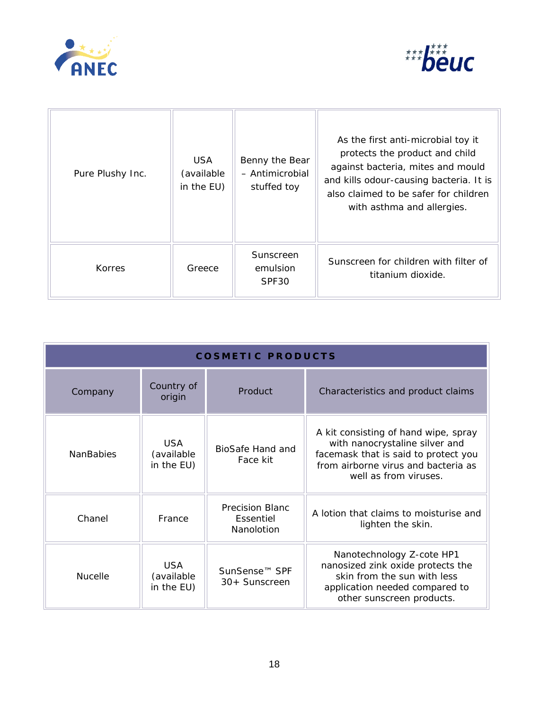



| Pure Plushy Inc. | <b>USA</b><br>(available<br>in the EU) | Benny the Bear<br>- Antimicrobial<br>stuffed toy | As the first anti-microbial toy it<br>protects the product and child<br>against bacteria, mites and mould<br>and kills odour-causing bacteria. It is<br>also claimed to be safer for children<br>with asthma and allergies. |
|------------------|----------------------------------------|--------------------------------------------------|-----------------------------------------------------------------------------------------------------------------------------------------------------------------------------------------------------------------------------|
| Korres           | Greece                                 | Sunscreen<br>emulsion<br>SPF <sub>30</sub>       | Sunscreen for children with filter of<br>titanium dioxide.                                                                                                                                                                  |

| <b>COSMETIC PRODUCTS</b> |                                        |                                            |                                                                                                                                                                                |
|--------------------------|----------------------------------------|--------------------------------------------|--------------------------------------------------------------------------------------------------------------------------------------------------------------------------------|
| Company                  | Country of<br>origin                   | Product                                    | Characteristics and product claims                                                                                                                                             |
| <b>NanBabies</b>         | <b>USA</b><br>(available<br>in the EU) | BioSafe Hand and<br>Face kit               | A kit consisting of hand wipe, spray<br>with nanocrystaline silver and<br>facemask that is said to protect you<br>from airborne virus and bacteria as<br>well as from viruses. |
| Chanel                   | France                                 | Precision Blanc<br>Essentiel<br>Nanolotion | A lotion that claims to moisturise and<br>lighten the skin.                                                                                                                    |
| <b>Nucelle</b>           | <b>USA</b><br>(available<br>in the EU) | SunSense <sup>™</sup> SPF<br>30+ Sunscreen | Nanotechnology Z-cote HP1<br>nanosized zink oxide protects the<br>skin from the sun with less<br>application needed compared to<br>other sunscreen products.                   |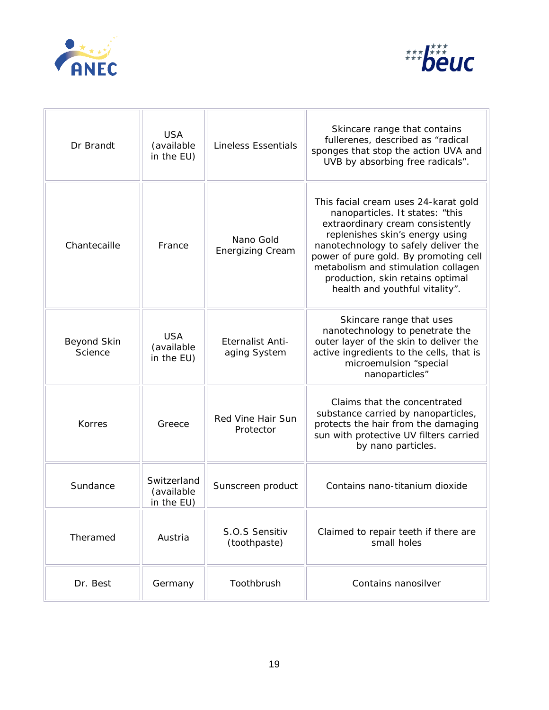



| Dr Brandt              | <b>USA</b><br>(available<br>in the EU)  | <b>Lineless Essentials</b>              | Skincare range that contains<br>fullerenes, described as "radical<br>sponges that stop the action UVA and<br>UVB by absorbing free radicals".                                                                                                                                                                                                |
|------------------------|-----------------------------------------|-----------------------------------------|----------------------------------------------------------------------------------------------------------------------------------------------------------------------------------------------------------------------------------------------------------------------------------------------------------------------------------------------|
| Chantecaille           | France                                  | Nano Gold<br><b>Energizing Cream</b>    | This facial cream uses 24-karat gold<br>nanoparticles. It states: "this<br>extraordinary cream consistently<br>replenishes skin's energy using<br>nanotechnology to safely deliver the<br>power of pure gold. By promoting cell<br>metabolism and stimulation collagen<br>production, skin retains optimal<br>health and youthful vitality". |
| Beyond Skin<br>Science | <b>USA</b><br>(available<br>in the EU)  | <b>Eternalist Anti-</b><br>aging System | Skincare range that uses<br>nanotechnology to penetrate the<br>outer layer of the skin to deliver the<br>active ingredients to the cells, that is<br>microemulsion "special<br>nanoparticles"                                                                                                                                                |
| <b>Korres</b>          | Greece                                  | Red Vine Hair Sun<br>Protector          | Claims that the concentrated<br>substance carried by nanoparticles,<br>protects the hair from the damaging<br>sun with protective UV filters carried<br>by nano particles.                                                                                                                                                                   |
| Sundance               | Switzerland<br>(available<br>in the EU) | Sunscreen product                       | Contains nano-titanium dioxide                                                                                                                                                                                                                                                                                                               |
| Theramed               | Austria                                 | S.O.S Sensitiv<br>(toothpaste)          | Claimed to repair teeth if there are<br>small holes                                                                                                                                                                                                                                                                                          |
| Dr. Best               | Germany                                 | Toothbrush                              | Contains nanosilver                                                                                                                                                                                                                                                                                                                          |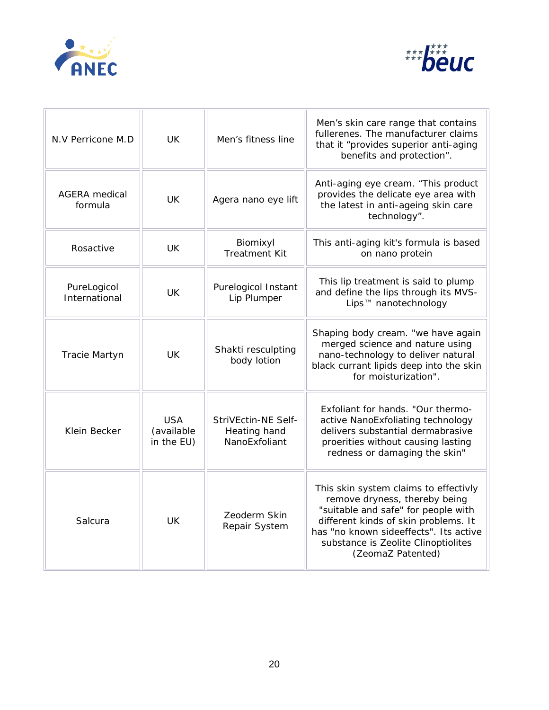



| N.V Perricone M.D               | <b>UK</b>                              | Men's fitness line                                   | Men's skin care range that contains<br>fullerenes. The manufacturer claims<br>that it "provides superior anti-aging<br>benefits and protection".                                                                                                            |
|---------------------------------|----------------------------------------|------------------------------------------------------|-------------------------------------------------------------------------------------------------------------------------------------------------------------------------------------------------------------------------------------------------------------|
| <b>AGERA</b> medical<br>formula | UK                                     | Agera nano eye lift                                  | Anti-aging eye cream. "This product<br>provides the delicate eye area with<br>the latest in anti-ageing skin care<br>technology".                                                                                                                           |
| Rosactive                       | UK                                     | Biomixyl<br><b>Treatment Kit</b>                     | This anti-aging kit's formula is based<br>on nano protein                                                                                                                                                                                                   |
| PureLogicol<br>International    | UK                                     | Purelogicol Instant<br>Lip Plumper                   | This lip treatment is said to plump<br>and define the lips through its MVS-<br>Lips™ nanotechnology                                                                                                                                                         |
| <b>Tracie Martyn</b>            | UK                                     | Shakti resculpting<br>body lotion                    | Shaping body cream. "we have again<br>merged science and nature using<br>nano-technology to deliver natural<br>black currant lipids deep into the skin<br>for moisturization".                                                                              |
| Klein Becker                    | <b>USA</b><br>(available<br>in the EU) | StriVEctin-NE Self-<br>Heating hand<br>NanoExfoliant | Exfoliant for hands. "Our thermo-<br>active NanoExfoliating technology<br>delivers substantial dermabrasive<br>proerities without causing lasting<br>redness or damaging the skin"                                                                          |
| Salcura                         | UK                                     | Zeoderm Skin<br>Repair System                        | This skin system claims to effectivly<br>remove dryness, thereby being<br>"suitable and safe" for people with<br>different kinds of skin problems. It<br>has "no known sideeffects". Its active<br>substance is Zeolite Clinoptiolites<br>(ZeomaZ Patented) |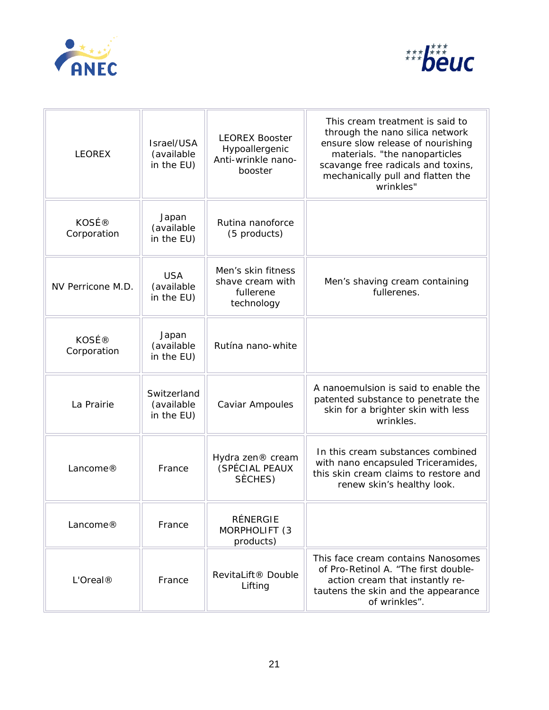



| <b>LEOREX</b>               | Israel/USA<br>(available<br>in the EU)  | <b>LEOREX Booster</b><br>Hypoallergenic<br>Anti-wrinkle nano-<br>booster | This cream treatment is said to<br>through the nano silica network<br>ensure slow release of nourishing<br>materials. "the nanoparticles<br>scavange free radicals and toxins,<br>mechanically pull and flatten the<br>wrinkles" |
|-----------------------------|-----------------------------------------|--------------------------------------------------------------------------|----------------------------------------------------------------------------------------------------------------------------------------------------------------------------------------------------------------------------------|
| <b>KOSÉ®</b><br>Corporation | Japan<br>(available<br>in the EU)       | Rutina nanoforce<br>(5 products)                                         |                                                                                                                                                                                                                                  |
| NV Perricone M.D.           | <b>USA</b><br>(available<br>in the EU)  | Men's skin fitness<br>shave cream with<br>fullerene<br>technology        | Men's shaving cream containing<br>fullerenes.                                                                                                                                                                                    |
| <b>KOSÉ®</b><br>Corporation | Japan<br>(available<br>in the EU)       | Rutína nano-white                                                        |                                                                                                                                                                                                                                  |
| La Prairie                  | Switzerland<br>(available<br>in the EU) | Caviar Ampoules                                                          | A nanoemulsion is said to enable the<br>patented substance to penetrate the<br>skin for a brighter skin with less<br>wrinkles.                                                                                                   |
| Lancome®                    | France                                  | Hydra zen® cream<br>(SPÉCIAL PEAUX<br>SÈCHES)                            | In this cream substances combined<br>with nano encapsuled Triceramides,<br>this skin cream claims to restore and<br>renew skin's healthy look.                                                                                   |
| Lancome®                    | France                                  | <b>RÉNERGIE</b><br>MORPHOLIFT (3<br>products)                            |                                                                                                                                                                                                                                  |
| L'Oreal <sup>®</sup>        | France                                  | RevitaLift <sup>®</sup> Double<br>Lifting                                | This face cream contains Nanosomes<br>of Pro-Retinol A. "The first double-<br>action cream that instantly re-<br>tautens the skin and the appearance<br>of wrinkles".                                                            |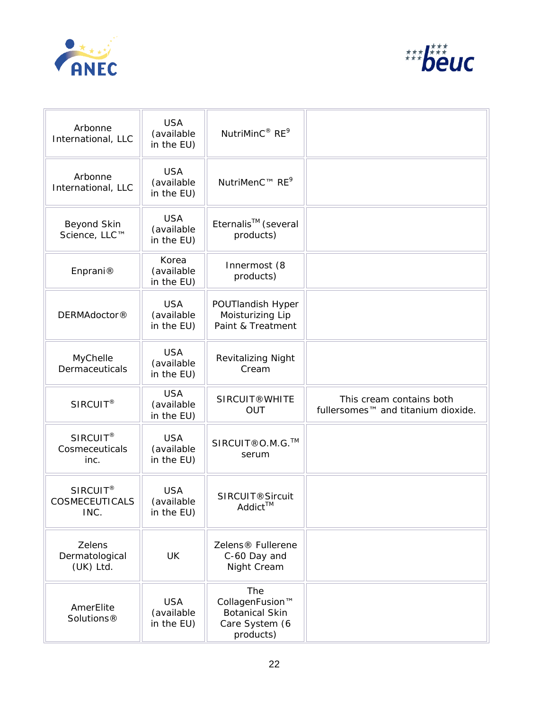



| Arbonne<br>International, LLC                  | <b>USA</b><br>(available<br>in the EU) | NutriMinC® RE <sup>9</sup>                                                     |                                                                |
|------------------------------------------------|----------------------------------------|--------------------------------------------------------------------------------|----------------------------------------------------------------|
| Arbonne<br>International, LLC                  | <b>USA</b><br>(available<br>in the EU) | NutriMenC™ RE <sup>9</sup>                                                     |                                                                |
| Beyond Skin<br>Science, LLC™                   | <b>USA</b><br>(available<br>in the EU) | Eternalis <sup>™</sup> (several<br>products)                                   |                                                                |
| Enprani <sup>®</sup>                           | Korea<br>(available<br>in the EU)      | Innermost (8<br>products)                                                      |                                                                |
| DERMAdoctor®                                   | <b>USA</b><br>(available<br>in the EU) | POUTlandish Hyper<br>Moisturizing Lip<br>Paint & Treatment                     |                                                                |
| MyChelle<br>Dermaceuticals                     | <b>USA</b><br>(available<br>in the EU) | Revitalizing Night<br>Cream                                                    |                                                                |
| SIRCUIT <sup>®</sup>                           | <b>USA</b><br>(available<br>in the EU) | <b>SIRCUIT®WHITE</b><br>OUT                                                    | This cream contains both<br>fullersomes™ and titanium dioxide. |
| SIRCUIT <sup>®</sup><br>Cosmeceuticals<br>inc. | <b>USA</b><br>(available<br>in the EU) | SIRCUIT®O.M.G. <sup>™</sup><br>serum                                           |                                                                |
| SIRCUIT <sup>®</sup><br>COSMECEUTICALS<br>INC. | <b>USA</b><br>(available<br>in the EU) | <b>SIRCUIT®Sircuit</b><br>Addict™                                              |                                                                |
| Zelens<br>Dermatological<br>(UK) Ltd.          | <b>UK</b>                              | Zelens® Fullerene<br>C-60 Day and<br>Night Cream                               |                                                                |
| AmerElite<br>Solutions <sup>®</sup>            | <b>USA</b><br>(available<br>in the EU) | The<br>CollagenFusion™<br><b>Botanical Skin</b><br>Care System (6<br>products) |                                                                |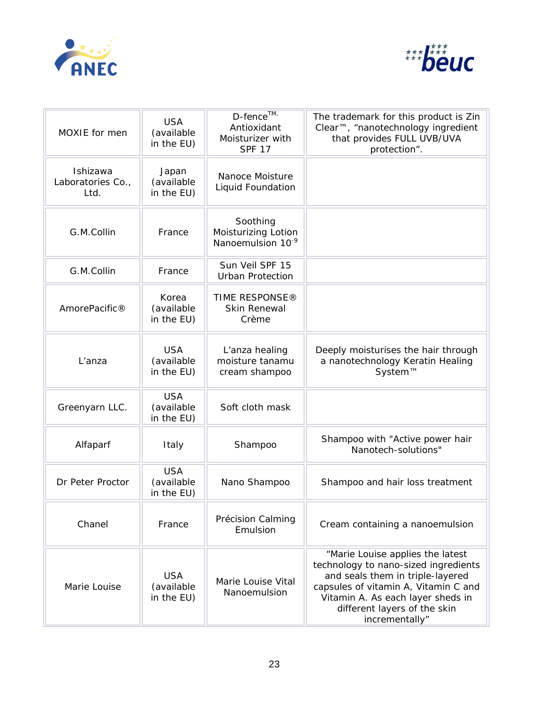



| MOXIE for men                         | <b>USA</b><br>(available<br>in the EU) | $D$ -fence <sup>TM</sup><br>Antioxidant<br>Moisturizer with<br><b>SPF 17</b> | The trademark for this product is Zin<br>Clear™, "nanotechnology ingredient<br>that provides FULL UVB/UVA<br>protection".                                                                                                                   |
|---------------------------------------|----------------------------------------|------------------------------------------------------------------------------|---------------------------------------------------------------------------------------------------------------------------------------------------------------------------------------------------------------------------------------------|
| Ishizawa<br>Laboratories Co.,<br>Ltd. | Japan<br>(available<br>in the EU)      | Nanoce Moisture<br>Liquid Foundation                                         |                                                                                                                                                                                                                                             |
| G.M.Collin                            | France                                 | Soothing<br>Moisturizing Lotion<br>Nanoemulsion 10 <sup>-9</sup>             |                                                                                                                                                                                                                                             |
| G.M.Collin                            | France                                 | Sun Veil SPF 15<br><b>Urban Protection</b>                                   |                                                                                                                                                                                                                                             |
| AmorePacific®                         | Korea<br>(available<br>in the EU)      | TIME RESPONSE®<br>Skin Renewal<br>Crème                                      |                                                                                                                                                                                                                                             |
| L'anza                                | <b>USA</b><br>(available<br>in the EU) | L'anza healing<br>moisture tanamu<br>cream shampoo                           | Deeply moisturises the hair through<br>a nanotechnology Keratin Healing<br>System™                                                                                                                                                          |
| Greenyarn LLC.                        | <b>USA</b><br>(available<br>in the EU) | Soft cloth mask                                                              |                                                                                                                                                                                                                                             |
| Alfaparf                              | Italy                                  | Shampoo                                                                      | Shampoo with "Active power hair<br>Nanotech-solutions"                                                                                                                                                                                      |
| Dr Peter Proctor                      | <b>USA</b><br>(available<br>in the EU) | Nano Shampoo                                                                 | Shampoo and hair loss treatment                                                                                                                                                                                                             |
| Chanel                                | France                                 | Précision Calming<br>Emulsion                                                | Cream containing a nanoemulsion                                                                                                                                                                                                             |
| Marie Louise                          | <b>USA</b><br>(available<br>in the EU) | Marie Louise Vital<br>Nanoemulsion                                           | "Marie Louise applies the latest<br>technology to nano-sized ingredients<br>and seals them in triple-layered<br>capsules of vitamin A, Vitamin C and<br>Vitamin A. As each layer sheds in<br>different layers of the skin<br>incrementally" |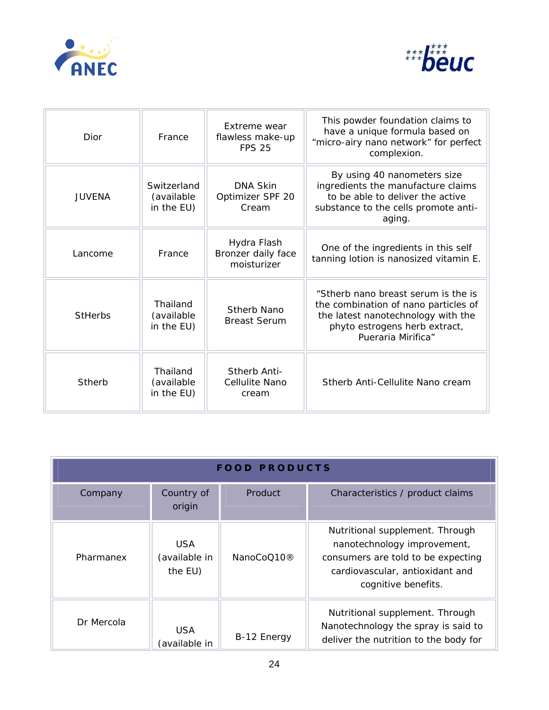



| Dior           | France                                  | Extreme wear<br>flawless make-up<br><b>FPS 25</b> | This powder foundation claims to<br>have a unique formula based on<br>"micro-airy nano network" for perfect<br>complexion.                                               |
|----------------|-----------------------------------------|---------------------------------------------------|--------------------------------------------------------------------------------------------------------------------------------------------------------------------------|
| <b>JUVENA</b>  | Switzerland<br>(available<br>in the EU) | <b>DNA Skin</b><br>Optimizer SPF 20<br>Cream      | By using 40 nanometers size<br>ingredients the manufacture claims<br>to be able to deliver the active<br>substance to the cells promote anti-<br>aging.                  |
| Lancome        | France                                  | Hydra Flash<br>Bronzer daily face<br>moisturizer  | One of the ingredients in this self<br>tanning lotion is nanosized vitamin E.                                                                                            |
| <b>StHerbs</b> | Thailand<br>(available<br>in the EU)    | Stherb Nano<br><b>Breast Serum</b>                | "Stherb nano breast serum is the is<br>the combination of nano particles of<br>the latest nanotechnology with the<br>phyto estrogens herb extract,<br>Pueraria Mirifica" |
| Stherb         | Thailand<br>(available<br>in the EU)    | Stherb Anti-<br>Cellulite Nano<br>cream           | Stherb Anti-Cellulite Nano cream                                                                                                                                         |

| <b>FOOD PRODUCTS</b> |                                        |                        |                                                                                                                                                                |
|----------------------|----------------------------------------|------------------------|----------------------------------------------------------------------------------------------------------------------------------------------------------------|
| Company              | Country of<br>origin                   | Product                | Characteristics / product claims                                                                                                                               |
| Pharmanex            | <b>USA</b><br>(available in<br>the EU) | NanoCoQ10 <sup>®</sup> | Nutritional supplement. Through<br>nanotechnology improvement,<br>consumers are told to be expecting<br>cardiovascular, antioxidant and<br>cognitive benefits. |
| Dr Mercola           | <b>USA</b><br>(available in            | B-12 Energy            | Nutritional supplement. Through<br>Nanotechnology the spray is said to<br>deliver the nutrition to the body for                                                |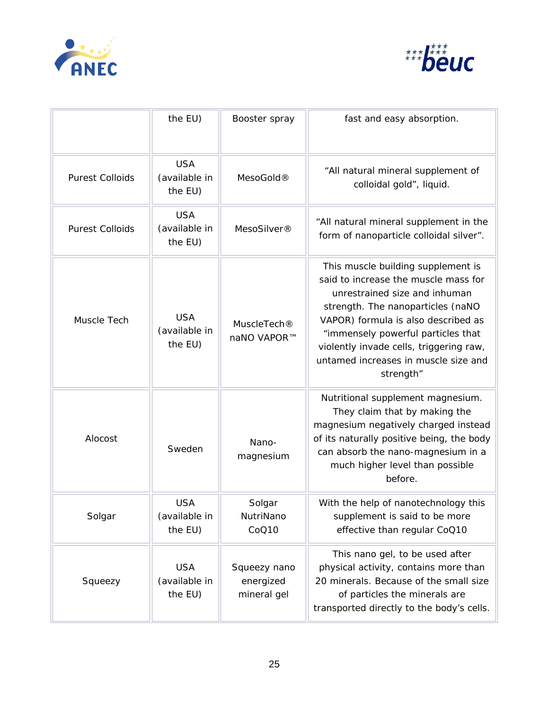



|                        | the EU)                                | Booster spray                            | fast and easy absorption.                                                                                                                                                                                                                                                                                                     |
|------------------------|----------------------------------------|------------------------------------------|-------------------------------------------------------------------------------------------------------------------------------------------------------------------------------------------------------------------------------------------------------------------------------------------------------------------------------|
| <b>Purest Colloids</b> | <b>USA</b><br>(available in<br>the EU) | MesoGold <sup>®</sup>                    | "All natural mineral supplement of<br>colloidal gold", liquid.                                                                                                                                                                                                                                                                |
| <b>Purest Colloids</b> | <b>USA</b><br>(available in<br>the EU) | MesoSilver <sup>®</sup>                  | "All natural mineral supplement in the<br>form of nanoparticle colloidal silver".                                                                                                                                                                                                                                             |
| Muscle Tech            | <b>USA</b><br>(available in<br>the EU) | <b>MuscleTech®</b><br>naNO VAPOR™        | This muscle building supplement is<br>said to increase the muscle mass for<br>unrestrained size and inhuman<br>strength. The nanoparticles (naNO<br>VAPOR) formula is also described as<br>"immensely powerful particles that<br>violently invade cells, triggering raw,<br>untamed increases in muscle size and<br>strength" |
| Alocost                | Sweden                                 | Nano-<br>magnesium                       | Nutritional supplement magnesium.<br>They claim that by making the<br>magnesium negatively charged instead<br>of its naturally positive being, the body<br>can absorb the nano-magnesium in a<br>much higher level than possible<br>before.                                                                                   |
| Solgar                 | <b>USA</b><br>(available in<br>the EU) | Solgar<br>NutriNano<br>CoQ10             | With the help of nanotechnology this<br>supplement is said to be more<br>effective than regular CoQ10                                                                                                                                                                                                                         |
| Squeezy                | <b>USA</b><br>(available in<br>the EU) | Squeezy nano<br>energized<br>mineral gel | This nano gel, to be used after<br>physical activity, contains more than<br>20 minerals. Because of the small size<br>of particles the minerals are<br>transported directly to the body's cells.                                                                                                                              |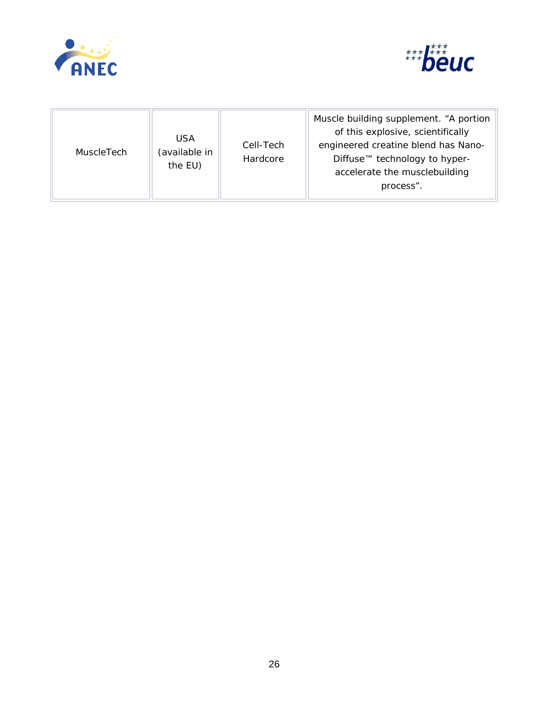



| <b>MuscleTech</b> | <b>USA</b><br>available in<br>the EU) | Cell-Tech<br>Hardcore | Muscle building supplement. "A portion<br>of this explosive, scientifically<br>engineered creatine blend has Nano-<br>Diffuse <sup>™</sup> technology to hyper-<br>accelerate the musclebuilding<br>process". |
|-------------------|---------------------------------------|-----------------------|---------------------------------------------------------------------------------------------------------------------------------------------------------------------------------------------------------------|
|-------------------|---------------------------------------|-----------------------|---------------------------------------------------------------------------------------------------------------------------------------------------------------------------------------------------------------|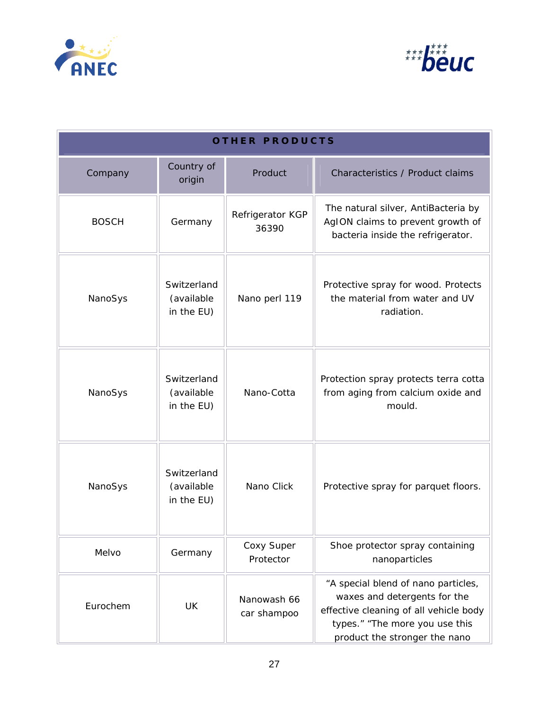



| <b>OTHER PRODUCTS</b> |                                         |                            |                                                                                                                                                                                  |
|-----------------------|-----------------------------------------|----------------------------|----------------------------------------------------------------------------------------------------------------------------------------------------------------------------------|
| Company               | Country of<br>origin                    | Product                    | Characteristics / Product claims                                                                                                                                                 |
| <b>BOSCH</b>          | Germany                                 | Refrigerator KGP<br>36390  | The natural silver, AntiBacteria by<br>AgION claims to prevent growth of<br>bacteria inside the refrigerator.                                                                    |
| NanoSys               | Switzerland<br>(available<br>in the EU) | Nano perl 119              | Protective spray for wood. Protects<br>the material from water and UV<br>radiation.                                                                                              |
| NanoSys               | Switzerland<br>(available<br>in the EU) | Nano-Cotta                 | Protection spray protects terra cotta<br>from aging from calcium oxide and<br>mould.                                                                                             |
| NanoSys               | Switzerland<br>(available<br>in the EU) | Nano Click                 | Protective spray for parquet floors.                                                                                                                                             |
| Melvo                 | Germany                                 | Coxy Super<br>Protector    | Shoe protector spray containing<br>nanoparticles                                                                                                                                 |
| Eurochem              | UK                                      | Nanowash 66<br>car shampoo | "A special blend of nano particles,<br>waxes and detergents for the<br>effective cleaning of all vehicle body<br>types." "The more you use this<br>product the stronger the nano |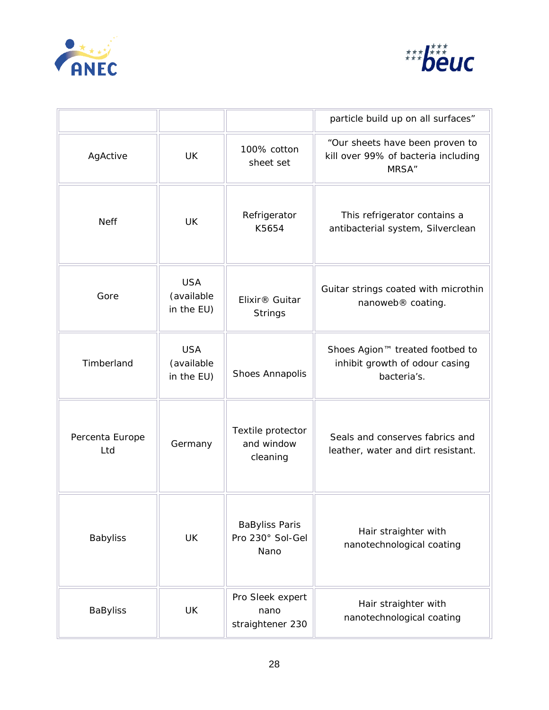



|                        |                                        |                                                   | particle build up on all surfaces"                                               |
|------------------------|----------------------------------------|---------------------------------------------------|----------------------------------------------------------------------------------|
| AgActive               | <b>UK</b>                              | 100% cotton<br>sheet set                          | "Our sheets have been proven to<br>kill over 99% of bacteria including<br>MRSA"  |
| <b>Neff</b>            | <b>UK</b>                              | Refrigerator<br>K5654                             | This refrigerator contains a<br>antibacterial system, Silverclean                |
| Gore                   | <b>USA</b><br>(available<br>in the EU) | Elixir <sup>®</sup> Guitar<br><b>Strings</b>      | Guitar strings coated with microthin<br>nanoweb <sup>®</sup> coating.            |
| Timberland             | <b>USA</b><br>(available<br>in the EU) | Shoes Annapolis                                   | Shoes Agion™ treated footbed to<br>inhibit growth of odour casing<br>bacteria's. |
| Percenta Europe<br>Ltd | Germany                                | Textile protector<br>and window<br>cleaning       | Seals and conserves fabrics and<br>leather, water and dirt resistant.            |
| <b>Babyliss</b>        | <b>UK</b>                              | <b>BaByliss Paris</b><br>Pro 230° Sol-Gel<br>Nano | Hair straighter with<br>nanotechnological coating                                |
| <b>BaByliss</b>        | UK                                     | Pro Sleek expert<br>nano<br>straightener 230      | Hair straighter with<br>nanotechnological coating                                |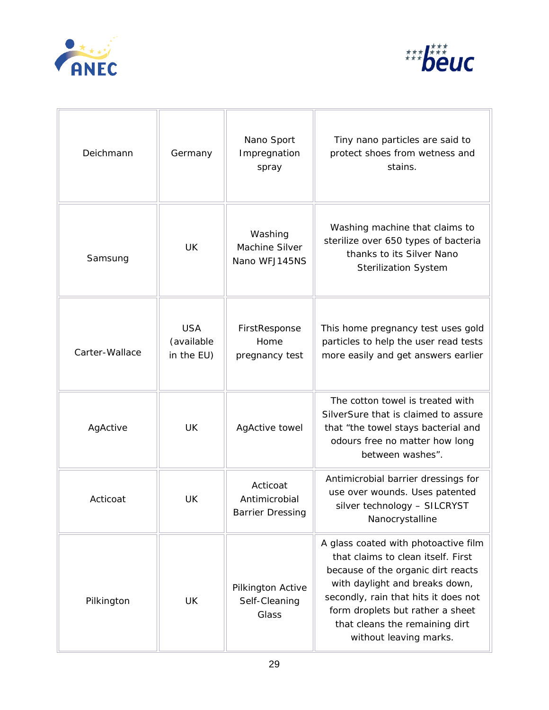



| Deichmann      | Germany                                | Nano Sport<br>Impregnation<br>spray                  | Tiny nano particles are said to<br>protect shoes from wetness and<br>stains.                                                                                                                                                                                                               |
|----------------|----------------------------------------|------------------------------------------------------|--------------------------------------------------------------------------------------------------------------------------------------------------------------------------------------------------------------------------------------------------------------------------------------------|
| Samsung        | UK                                     | Washing<br>Machine Silver<br>Nano WFJ145NS           | Washing machine that claims to<br>sterilize over 650 types of bacteria<br>thanks to its Silver Nano<br><b>Sterilization System</b>                                                                                                                                                         |
| Carter-Wallace | <b>USA</b><br>(available<br>in the EU) | FirstResponse<br>Home<br>pregnancy test              | This home pregnancy test uses gold<br>particles to help the user read tests<br>more easily and get answers earlier                                                                                                                                                                         |
| AgActive       | <b>UK</b>                              | AgActive towel                                       | The cotton towel is treated with<br>SilverSure that is claimed to assure<br>that "the towel stays bacterial and<br>odours free no matter how long<br>between washes".                                                                                                                      |
| Acticoat       | UK                                     | Acticoat<br>Antimicrobial<br><b>Barrier Dressing</b> | Antimicrobial barrier dressings for<br>use over wounds. Uses patented<br>silver technology - SILCRYST<br>Nanocrystalline                                                                                                                                                                   |
| Pilkington     | <b>UK</b>                              | Pilkington Active<br>Self-Cleaning<br>Glass          | A glass coated with photoactive film<br>that claims to clean itself. First<br>because of the organic dirt reacts<br>with daylight and breaks down,<br>secondly, rain that hits it does not<br>form droplets but rather a sheet<br>that cleans the remaining dirt<br>without leaving marks. |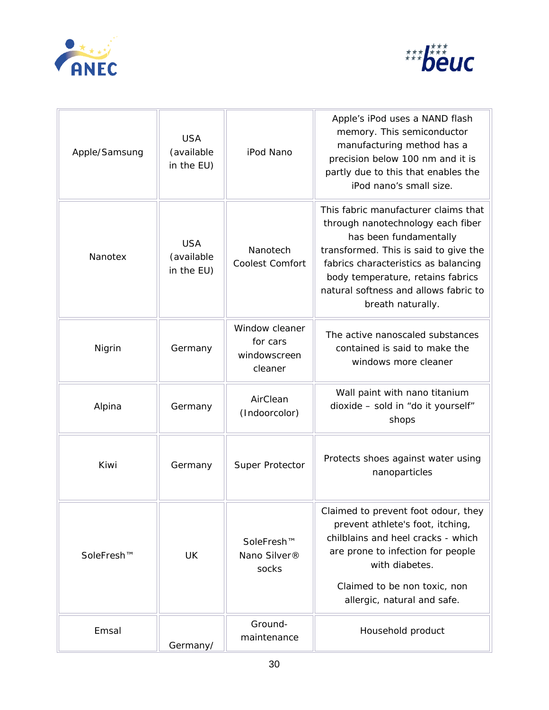



| Apple/Samsung | <b>USA</b><br>(available<br>in the EU) | iPod Nano                                             | Apple's iPod uses a NAND flash<br>memory. This semiconductor<br>manufacturing method has a<br>precision below 100 nm and it is<br>partly due to this that enables the<br>iPod nano's small size.                                                                                        |
|---------------|----------------------------------------|-------------------------------------------------------|-----------------------------------------------------------------------------------------------------------------------------------------------------------------------------------------------------------------------------------------------------------------------------------------|
| Nanotex       | <b>USA</b><br>(available<br>in the EU) | Nanotech<br>Coolest Comfort                           | This fabric manufacturer claims that<br>through nanotechnology each fiber<br>has been fundamentally<br>transformed. This is said to give the<br>fabrics characteristics as balancing<br>body temperature, retains fabrics<br>natural softness and allows fabric to<br>breath naturally. |
| Nigrin        | Germany                                | Window cleaner<br>for cars<br>windowscreen<br>cleaner | The active nanoscaled substances<br>contained is said to make the<br>windows more cleaner                                                                                                                                                                                               |
| Alpina        | Germany                                | AirClean<br>(Indoorcolor)                             | Wall paint with nano titanium<br>dioxide - sold in "do it yourself"<br>shops                                                                                                                                                                                                            |
| Kiwi          | Germany                                | Super Protector                                       | Protects shoes against water using<br>nanoparticles                                                                                                                                                                                                                                     |
| SoleFresh™    | <b>UK</b>                              | SoleFresh™<br>Nano Silver <sup>®</sup><br>socks       | Claimed to prevent foot odour, they<br>prevent athlete's foot, itching,<br>chilblains and heel cracks - which<br>are prone to infection for people<br>with diabetes.<br>Claimed to be non toxic, non<br>allergic, natural and safe.                                                     |
| Emsal         | Germany/                               | Ground-<br>maintenance                                | Household product                                                                                                                                                                                                                                                                       |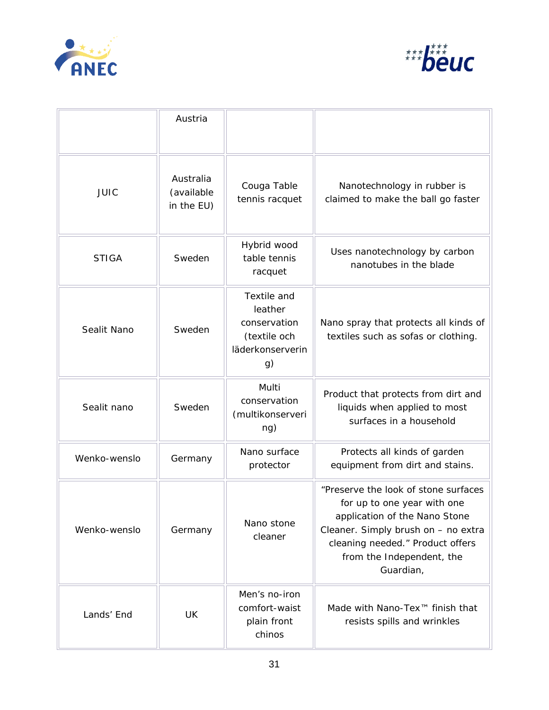



|              | Austria                               |                                                                                  |                                                                                                                                                                                                                           |
|--------------|---------------------------------------|----------------------------------------------------------------------------------|---------------------------------------------------------------------------------------------------------------------------------------------------------------------------------------------------------------------------|
| <b>JUIC</b>  | Australia<br>(available<br>in the EU) | Couga Table<br>tennis racquet                                                    | Nanotechnology in rubber is<br>claimed to make the ball go faster                                                                                                                                                         |
| <b>STIGA</b> | Sweden                                | Hybrid wood<br>table tennis<br>racquet                                           | Uses nanotechnology by carbon<br>nanotubes in the blade                                                                                                                                                                   |
| Sealit Nano  | Sweden                                | Textile and<br>leather<br>conservation<br>(textile och<br>läderkonserverin<br>g) | Nano spray that protects all kinds of<br>textiles such as sofas or clothing.                                                                                                                                              |
| Sealit nano  | Sweden                                | Multi<br>conservation<br>(multikonserveri<br>ng)                                 | Product that protects from dirt and<br>liquids when applied to most<br>surfaces in a household                                                                                                                            |
| Wenko-wenslo | Germany                               | Nano surface<br>protector                                                        | Protects all kinds of garden<br>equipment from dirt and stains.                                                                                                                                                           |
| Wenko-wenslo | Germany                               | Nano stone<br>cleaner                                                            | "Preserve the look of stone surfaces<br>for up to one year with one<br>application of the Nano Stone<br>Cleaner. Simply brush on - no extra<br>cleaning needed." Product offers<br>from the Independent, the<br>Guardian, |
| Lands' End   | UK                                    | Men's no-iron<br>comfort-waist<br>plain front<br>chinos                          | Made with Nano-Tex™ finish that<br>resists spills and wrinkles                                                                                                                                                            |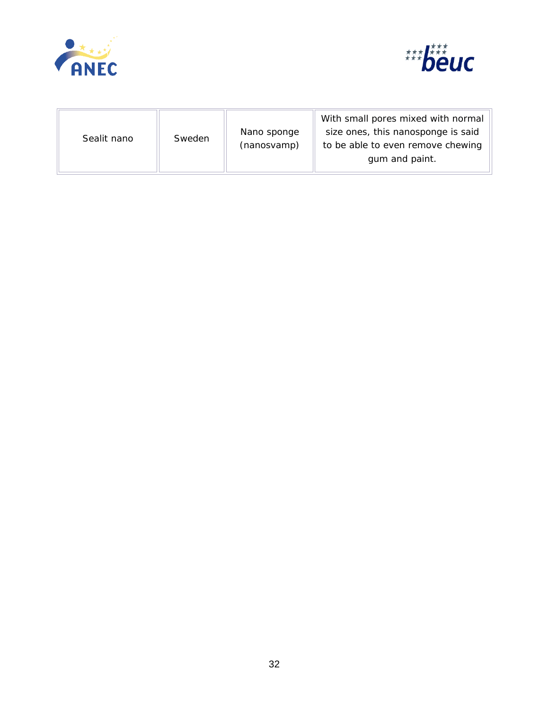



| Sweden<br>Sealit nano | Nano sponge<br>(nanosvamp) | With small pores mixed with normal<br>size ones, this nanosponge is said<br>to be able to even remove chewing<br>gum and paint. |
|-----------------------|----------------------------|---------------------------------------------------------------------------------------------------------------------------------|
|-----------------------|----------------------------|---------------------------------------------------------------------------------------------------------------------------------|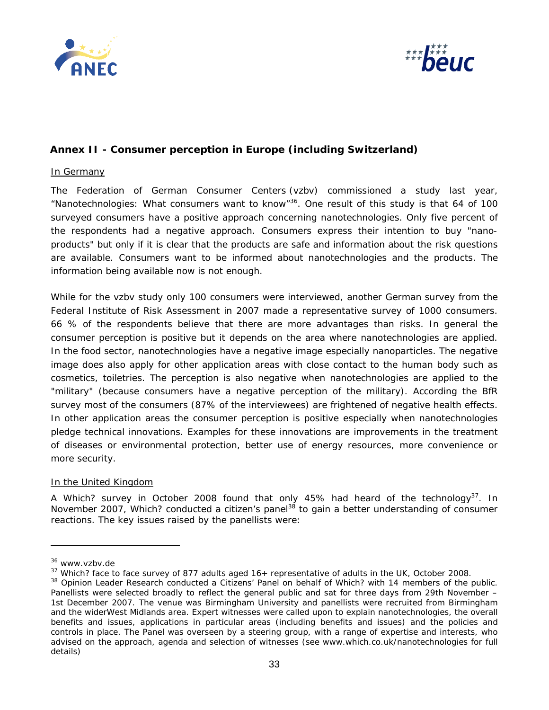



## **Annex II - Consumer perception in Europe (including Switzerland)**

#### In Germany

The Federation of German Consumer Centers (vzbv) commissioned a study last year, "Nanotechnologies: What consumers want to know"[36.](#page-32-0) One result of this study is that 64 of 100 surveyed consumers have a positive approach concerning nanotechnologies. Only five percent of the respondents had a negative approach. Consumers express their intention to buy "nanoproducts" but only if it is clear that the products are safe and information about the risk questions are available. Consumers want to be informed about nanotechnologies and the products. The information being available now is not enough.

While for the vzbv study only 100 consumers were interviewed, another German survey from the Federal Institute of Risk Assessment in 2007 made a representative survey of 1000 consumers. 66 % of the respondents believe that there are more advantages than risks. In general the consumer perception is positive but it depends on the area where nanotechnologies are applied. In the food sector, nanotechnologies have a negative image especially nanoparticles. The negative image does also apply for other application areas with close contact to the human body such as cosmetics, toiletries. The perception is also negative when nanotechnologies are applied to the "military" (because consumers have a negative perception of the military). According the BfR survey most of the consumers (87% of the interviewees) are frightened of negative health effects. In other application areas the consumer perception is positive especially when nanotechnologies pledge technical innovations. Examples for these innovations are improvements in the treatment of diseases or environmental protection, better use of energy resources, more convenience or more security.

#### In the United Kingdom

A Which? survey in October 2008 found that only 45% had heard of the technology $37$ . In November 2007, Which? conducted a citizen's panel<sup>38</sup> to gain a better understanding of consumer reactions. The key issues raised by the panellists were:

<span id="page-32-1"></span>

<span id="page-32-0"></span><sup>&</sup>lt;sup>36</sup> www.vzbv.de<br><sup>37</sup> Which? face to face survey of 877 adults aged 16+ representative of adults in the UK, October 2008.<br><sup>38</sup> Opinion Leader Research conducted a Citizens' Panel on behalf of Which? with 14 members of the

<span id="page-32-2"></span>Panellists were selected broadly to reflect the general public and sat for three days from 29th November – 1st December 2007. The venue was Birmingham University and panellists were recruited from Birmingham and the widerWest Midlands area. Expert witnesses were called upon to explain nanotechnologies, the overall benefits and issues, applications in particular areas (including benefits and issues) and the policies and controls in place. The Panel was overseen by a steering group, with a range of expertise and interests, who advised on the approach, agenda and selection of witnesses (see www.which.co.uk/nanotechnologies for full details)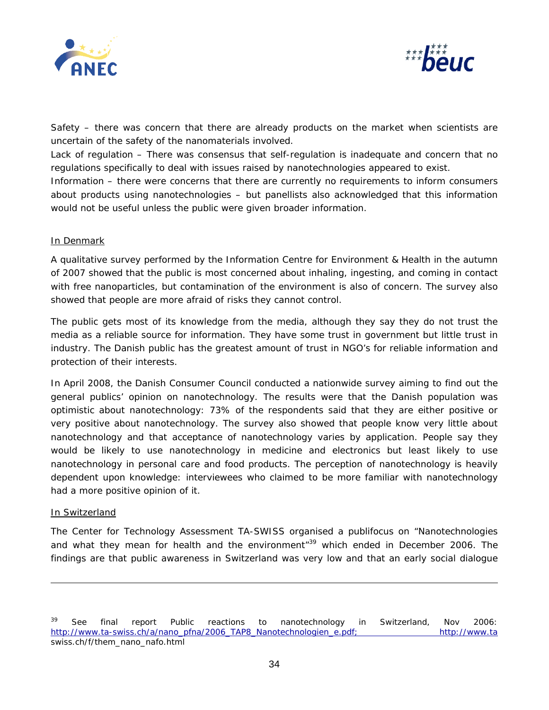



*Safety* – there was concern that there are already products on the market when scientists are uncertain of the safety of the nanomaterials involved.

*Lack of regulation* – There was consensus that self-regulation is inadequate and concern that no regulations specifically to deal with issues raised by nanotechnologies appeared to exist.

*Information* – there were concerns that there are currently no requirements to inform consumers about products using nanotechnologies – but panellists also acknowledged that this information would not be useful unless the public were given broader information.

#### In Denmark

A qualitative survey performed by the Information Centre for Environment & Health in the autumn of 2007 showed that the public is most concerned about inhaling, ingesting, and coming in contact with free nanoparticles, but contamination of the environment is also of concern. The survey also showed that people are more afraid of risks they cannot control.

The public gets most of its knowledge from the media, although they say they do not trust the media as a reliable source for information. They have some trust in government but little trust in industry. The Danish public has the greatest amount of trust in NGO's for reliable information and protection of their interests.

In April 2008, the Danish Consumer Council conducted a nationwide survey aiming to find out the general publics' opinion on nanotechnology. The results were that the Danish population was optimistic about nanotechnology: 73% of the respondents said that they are either positive or very positive about nanotechnology. The survey also showed that people know very little about nanotechnology and that acceptance of nanotechnology varies by application. People say they would be likely to use nanotechnology in medicine and electronics but least likely to use nanotechnology in personal care and food products. The perception of nanotechnology is heavily dependent upon knowledge: interviewees who claimed to be more familiar with nanotechnology had a more positive opinion of it.

#### In Switzerland

The Center for Technology Assessment TA-SWISS organised a publifocus on "Nanotechnologies and what they mean for health and the environment<sup>"39</sup> which ended in December 2006. The findings are that public awareness in Switzerland was very low and that an early social dialogue

<span id="page-33-0"></span>See final report Public reactions to nanotechnology in Switzerland, Nov 2006: [http://www.ta-swiss.ch/a/nano\\_pfna/2006\\_TAP8\\_Nanotechnologien\\_e.pdf; http://www.ta](http://www.ta-swiss.ch/a/nano_pfna/2006_TAP8_Nanotechnologien_e.pdf; http://www.ta) swiss.ch/f/them\_nano\_nafo.html